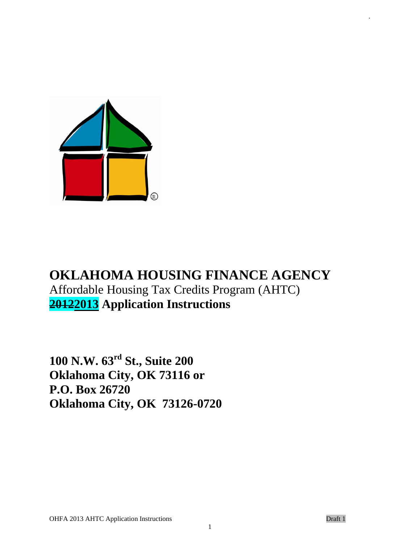

# **OKLAHOMA HOUSING FINANCE AGENCY** Affordable Housing Tax Credits Program (AHTC) **20122013 Application Instructions**

**100 N.W. 63rd St., Suite 200 Oklahoma City, OK 73116 or P.O. Box 26720 Oklahoma City, OK 73126-0720** .

1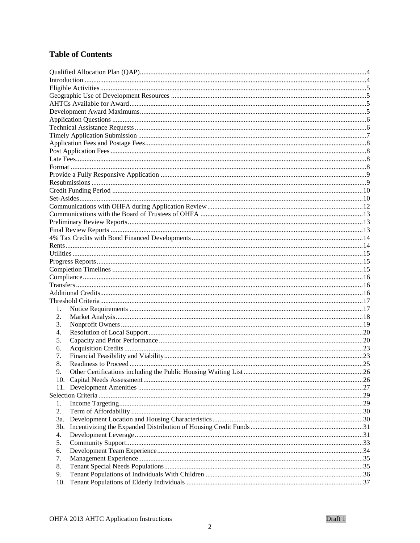# **Table of Contents**

| 1.  |  |
|-----|--|
| 2.  |  |
| 3.  |  |
| 4.  |  |
| 5.  |  |
| 6.  |  |
| 7.  |  |
| 8.  |  |
| 9.  |  |
|     |  |
|     |  |
|     |  |
| 1.  |  |
| 2.  |  |
| 3a. |  |
| 3b. |  |
| 4.  |  |
| 5.  |  |
| 6.  |  |
| 7.  |  |
| 8.  |  |
| 9.  |  |
| 10. |  |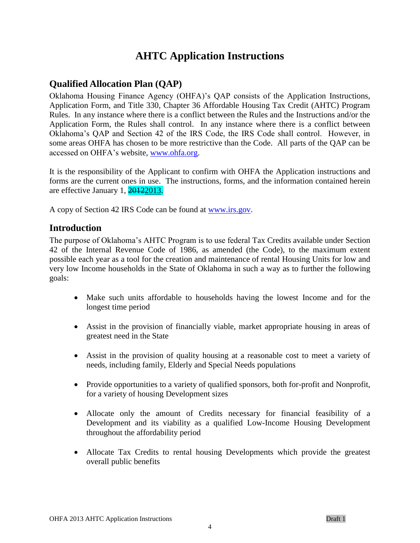# **AHTC Application Instructions**

# <span id="page-3-0"></span>**Qualified Allocation Plan (QAP)**

Oklahoma Housing Finance Agency (OHFA)'s QAP consists of the Application Instructions, Application Form, and Title 330, Chapter 36 Affordable Housing Tax Credit (AHTC) Program Rules. In any instance where there is a conflict between the Rules and the Instructions and/or the Application Form, the Rules shall control. In any instance where there is a conflict between Oklahoma's QAP and Section 42 of the IRS Code, the IRS Code shall control. However, in some areas OHFA has chosen to be more restrictive than the Code. All parts of the QAP can be accessed on OHFA's website, [www.ohfa.org.](http://www.ohfa.org/)

It is the responsibility of the Applicant to confirm with OHFA the Application instructions and forms are the current ones in use. The instructions, forms, and the information contained herein are effective January 1, 20122013.

<span id="page-3-1"></span>A copy of Section 42 IRS Code can be found at [www.irs.gov.](http://www.irs.gov/)

### **Introduction**

The purpose of Oklahoma's AHTC Program is to use federal Tax Credits available under Section 42 of the Internal Revenue Code of 1986, as amended (the Code), to the maximum extent possible each year as a tool for the creation and maintenance of rental Housing Units for low and very low Income households in the State of Oklahoma in such a way as to further the following goals:

- Make such units affordable to households having the lowest Income and for the longest time period
- Assist in the provision of financially viable, market appropriate housing in areas of greatest need in the State
- Assist in the provision of quality housing at a reasonable cost to meet a variety of needs, including family, Elderly and Special Needs populations
- Provide opportunities to a variety of qualified sponsors, both for-profit and Nonprofit, for a variety of housing Development sizes
- Allocate only the amount of Credits necessary for financial feasibility of a Development and its viability as a qualified Low-Income Housing Development throughout the affordability period
- Allocate Tax Credits to rental housing Developments which provide the greatest overall public benefits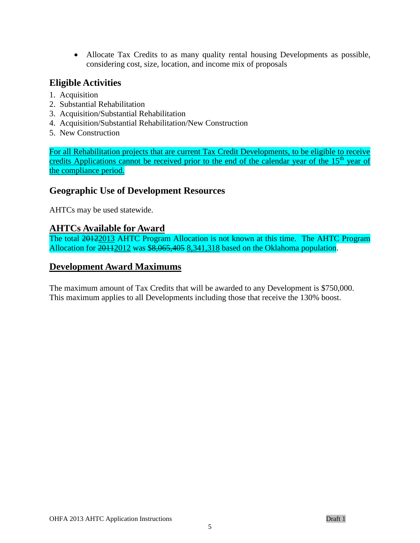Allocate Tax Credits to as many quality rental housing Developments as possible, considering cost, size, location, and income mix of proposals

### <span id="page-4-0"></span>**Eligible Activities**

- 1. Acquisition
- 2. Substantial Rehabilitation
- 3. Acquisition/Substantial Rehabilitation
- 4. Acquisition/Substantial Rehabilitation/New Construction
- 5. New Construction

For all Rehabilitation projects that are current Tax Credit Developments, to be eligible to receive credits Applications cannot be received prior to the end of the calendar year of the 15<sup>th</sup> year of the compliance period.

### <span id="page-4-1"></span>**Geographic Use of Development Resources**

AHTCs may be used statewide.

### <span id="page-4-2"></span>**AHTCs Available for Award**

The total 20122013 AHTC Program Allocation is not known at this time. The AHTC Program Allocation for 20112012 was \$8,065,405 8,341,318 based on the Oklahoma population.

### <span id="page-4-3"></span>**Development Award Maximums**

The maximum amount of Tax Credits that will be awarded to any Development is \$750,000. This maximum applies to all Developments including those that receive the 130% boost.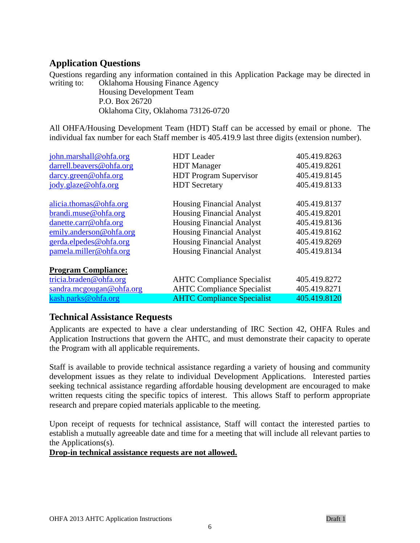# <span id="page-5-0"></span>**Application Questions**

Questions regarding any information contained in this Application Package may be directed in writing to: Oklahoma Housing Finance Agency Housing Development Team

P.O. Box 26720

Oklahoma City, Oklahoma 73126-0720

All OHFA/Housing Development Team (HDT) Staff can be accessed by email or phone. The individual fax number for each Staff member is 405.419.9 last three digits (extension number).

| john.marshall@ohfa.org                                                                                  | <b>HDT</b> Leader                                                                                           | 405.419.8263                                 |
|---------------------------------------------------------------------------------------------------------|-------------------------------------------------------------------------------------------------------------|----------------------------------------------|
| darrell.beavers@ohfa.org                                                                                | <b>HDT</b> Manager                                                                                          | 405.419.8261                                 |
| darcy.green@ohfa.org                                                                                    | <b>HDT</b> Program Supervisor                                                                               | 405.419.8145                                 |
| jody.glaze@ohfa.org                                                                                     | <b>HDT</b> Secretary                                                                                        | 405.419.8133                                 |
| alicia. thomas@ohfa.org                                                                                 | <b>Housing Financial Analyst</b>                                                                            | 405.419.8137                                 |
| brandi.muse@ohfa.org                                                                                    | <b>Housing Financial Analyst</b>                                                                            | 405.419.8201                                 |
| danette.carr@ohfa.org                                                                                   | <b>Housing Financial Analyst</b>                                                                            | 405.419.8136                                 |
| emily.anderson@ohfa.org                                                                                 | <b>Housing Financial Analyst</b>                                                                            | 405.419.8162                                 |
| gerda.elpedes@ohfa.org                                                                                  | <b>Housing Financial Analyst</b>                                                                            | 405.419.8269                                 |
| pamela.miller@ohfa.org                                                                                  | <b>Housing Financial Analyst</b>                                                                            | 405.419.8134                                 |
| <b>Program Compliance:</b><br>tricia.braden@ohfa.org<br>sandra.mcgougan@ohfa.org<br>kash.parks@ohfa.org | <b>AHTC Compliance Specialist</b><br><b>AHTC Compliance Specialist</b><br><b>AHTC Compliance Specialist</b> | 405.419.8272<br>405.419.8271<br>405.419.8120 |

### <span id="page-5-1"></span>**Technical Assistance Requests**

Applicants are expected to have a clear understanding of IRC Section 42, OHFA Rules and Application Instructions that govern the AHTC, and must demonstrate their capacity to operate the Program with all applicable requirements.

Staff is available to provide technical assistance regarding a variety of housing and community development issues as they relate to individual Development Applications. Interested parties seeking technical assistance regarding affordable housing development are encouraged to make written requests citing the specific topics of interest. This allows Staff to perform appropriate research and prepare copied materials applicable to the meeting.

Upon receipt of requests for technical assistance, Staff will contact the interested parties to establish a mutually agreeable date and time for a meeting that will include all relevant parties to the Applications(s).

#### **Drop-in technical assistance requests are not allowed.**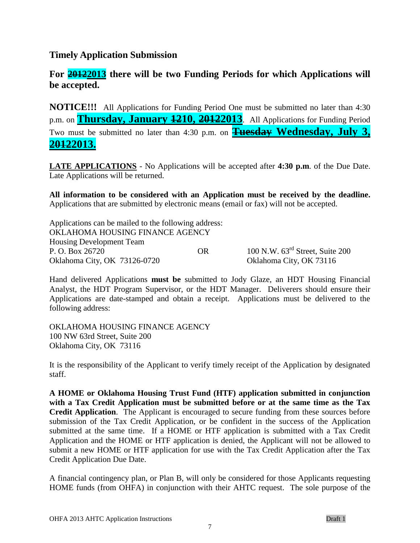### <span id="page-6-0"></span>**Timely Application Submission**

# **For 20122013 there will be two Funding Periods for which Applications will be accepted.**

**NOTICE!!!** All Applications for Funding Period One must be submitted no later than 4:30 p.m. on **Thursday, January 1210, 20122013**. All Applications for Funding Period Two must be submitted no later than 4:30 p.m. on **Tuesday Wednesday, July 3, 20122013.**

**LATE APPLICATIONS** - No Applications will be accepted after **4:30 p.m**. of the Due Date. Late Applications will be returned.

**All information to be considered with an Application must be received by the deadline.**  Applications that are submitted by electronic means (email or fax) will not be accepted.

Applications can be mailed to the following address: OKLAHOMA HOUSING FINANCE AGENCY Housing Development Team P. O. Box 26720 OR 100 N.W. 63<sup>rd</sup> Street, Suite 200 Oklahoma City, OK 73126-0720 Oklahoma City, OK 73116

Hand delivered Applications **must be** submitted to Jody Glaze, an HDT Housing Financial Analyst, the HDT Program Supervisor, or the HDT Manager. Deliverers should ensure their Applications are date-stamped and obtain a receipt. Applications must be delivered to the following address:

OKLAHOMA HOUSING FINANCE AGENCY 100 NW 63rd Street, Suite 200 Oklahoma City, OK 73116

It is the responsibility of the Applicant to verify timely receipt of the Application by designated staff.

**A HOME or Oklahoma Housing Trust Fund (HTF) application submitted in conjunction with a Tax Credit Application must be submitted before or at the same time as the Tax Credit Application**. The Applicant is encouraged to secure funding from these sources before submission of the Tax Credit Application, or be confident in the success of the Application submitted at the same time. If a HOME or HTF application is submitted with a Tax Credit Application and the HOME or HTF application is denied, the Applicant will not be allowed to submit a new HOME or HTF application for use with the Tax Credit Application after the Tax Credit Application Due Date.

A financial contingency plan, or Plan B, will only be considered for those Applicants requesting HOME funds (from OHFA) in conjunction with their AHTC request. The sole purpose of the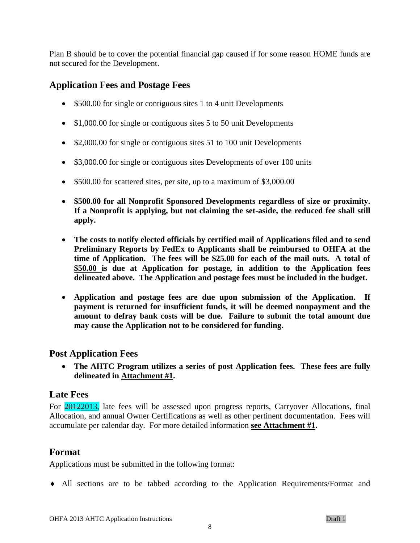Plan B should be to cover the potential financial gap caused if for some reason HOME funds are not secured for the Development.

# <span id="page-7-0"></span>**Application Fees and Postage Fees**

- \$500.00 for single or contiguous sites 1 to 4 unit Developments
- \$1,000.00 for single or contiguous sites 5 to 50 unit Developments
- \$2,000.00 for single or contiguous sites 51 to 100 unit Developments
- \$3,000.00 for single or contiguous sites Developments of over 100 units
- \$500.00 for scattered sites, per site, up to a maximum of \$3,000.00
- **\$500.00 for all Nonprofit Sponsored Developments regardless of size or proximity. If a Nonprofit is applying, but not claiming the set-aside, the reduced fee shall still apply.**
- **The costs to notify elected officials by certified mail of Applications filed and to send Preliminary Reports by FedEx to Applicants shall be reimbursed to OHFA at the time of Application. The fees will be \$25.00 for each of the mail outs. A total of \$50.00 is due at Application for postage, in addition to the Application fees delineated above. The Application and postage fees must be included in the budget.**
- **Application and postage fees are due upon submission of the Application. If payment is returned for insufficient funds, it will be deemed nonpayment and the amount to defray bank costs will be due. Failure to submit the total amount due may cause the Application not to be considered for funding.**

# <span id="page-7-1"></span>**Post Application Fees**

 **The AHTC Program utilizes a series of post Application fees. These fees are fully delineated in Attachment #1.** 

### <span id="page-7-2"></span>**Late Fees**

For **20122013**, late fees will be assessed upon progress reports, Carryover Allocations, final Allocation, and annual Owner Certifications as well as other pertinent documentation. Fees will accumulate per calendar day. For more detailed information **see Attachment #1.**

# <span id="page-7-3"></span>**Format**

Applications must be submitted in the following format:

All sections are to be tabbed according to the Application Requirements/Format and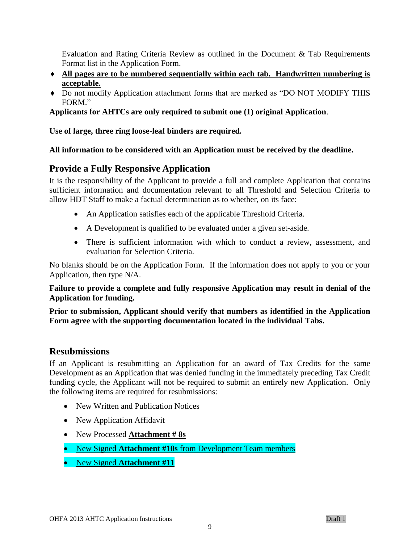Evaluation and Rating Criteria Review as outlined in the Document & Tab Requirements Format list in the Application Form.

- **All pages are to be numbered sequentially within each tab. Handwritten numbering is acceptable.**
- Do not modify Application attachment forms that are marked as "DO NOT MODIFY THIS FORM."

**Applicants for AHTCs are only required to submit one (1) original Application**.

**Use of large, three ring loose-leaf binders are required.**

#### **All information to be considered with an Application must be received by the deadline.**

### <span id="page-8-0"></span>**Provide a Fully Responsive Application**

It is the responsibility of the Applicant to provide a full and complete Application that contains sufficient information and documentation relevant to all Threshold and Selection Criteria to allow HDT Staff to make a factual determination as to whether, on its face:

- An Application satisfies each of the applicable Threshold Criteria.
- A Development is qualified to be evaluated under a given set-aside.
- There is sufficient information with which to conduct a review, assessment, and evaluation for Selection Criteria.

No blanks should be on the Application Form. If the information does not apply to you or your Application, then type N/A.

**Failure to provide a complete and fully responsive Application may result in denial of the Application for funding.** 

**Prior to submission, Applicant should verify that numbers as identified in the Application Form agree with the supporting documentation located in the individual Tabs.**

### <span id="page-8-1"></span>**Resubmissions**

If an Applicant is resubmitting an Application for an award of Tax Credits for the same Development as an Application that was denied funding in the immediately preceding Tax Credit funding cycle, the Applicant will not be required to submit an entirely new Application. Only the following items are required for resubmissions:

- New Written and Publication Notices
- New Application Affidavit
- New Processed **Attachment # 8s**
- New Signed **Attachment #10s** from Development Team members
- New Signed **Attachment #11**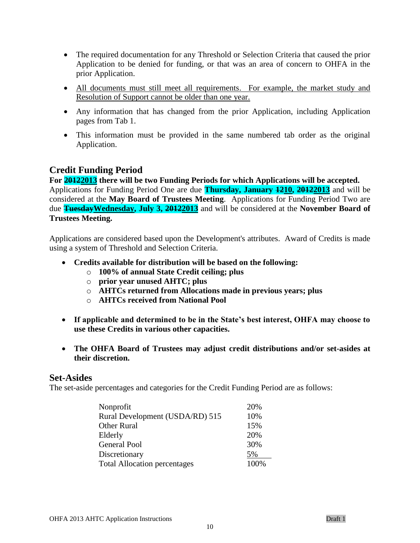- The required documentation for any Threshold or Selection Criteria that caused the prior Application to be denied for funding, or that was an area of concern to OHFA in the prior Application.
- All documents must still meet all requirements. For example, the market study and Resolution of Support cannot be older than one year.
- Any information that has changed from the prior Application, including Application pages from Tab 1.
- This information must be provided in the same numbered tab order as the original Application.

### <span id="page-9-0"></span>**Credit Funding Period**

**For 20122013 there will be two Funding Periods for which Applications will be accepted.**  Applications for Funding Period One are due **Thursday, January 1210, 20122013** and will be considered at the **May Board of Trustees Meeting**. Applications for Funding Period Two are due **TuesdayWednesday, July 3, 20122013** and will be considered at the **November Board of Trustees Meeting.**

Applications are considered based upon the Development's attributes. Award of Credits is made using a system of Threshold and Selection Criteria.

- **Credits available for distribution will be based on the following:**
	- o **100% of annual State Credit ceiling; plus**
	- o **prior year unused AHTC; plus**
	- o **AHTCs returned from Allocations made in previous years; plus**
	- o **AHTCs received from National Pool**
- **If applicable and determined to be in the State's best interest, OHFA may choose to use these Credits in various other capacities.**
- **The OHFA Board of Trustees may adjust credit distributions and/or set-asides at their discretion.**

### <span id="page-9-1"></span>**Set-Asides**

The set-aside percentages and categories for the Credit Funding Period are as follows:

| Nonprofit                           | 20%  |
|-------------------------------------|------|
| Rural Development (USDA/RD) 515     | 10%  |
| Other Rural                         | 15%  |
| Elderly                             | 20%  |
| <b>General Pool</b>                 | 30%  |
| Discretionary                       | 5%   |
| <b>Total Allocation percentages</b> | 100% |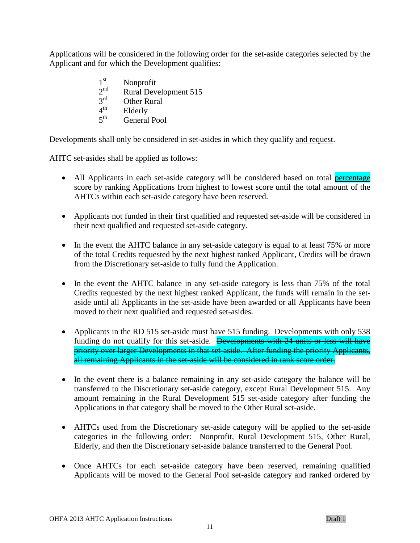Applications will be considered in the following order for the set-aside categories selected by the Applicant and for which the Development qualifies:

- 1 st Nonprofit
- $2<sup>nd</sup>$ Rural Development 515
- $2^{rd}$ **Other Rural**
- $4^{\text{th}}$ **Elderly**
- $5<sup>th</sup>$ General Pool

Developments shall only be considered in set-asides in which they qualify and request.

AHTC set-asides shall be applied as follows:

- All Applicants in each set-aside category will be considered based on total percentage score by ranking Applications from highest to lowest score until the total amount of the AHTCs within each set-aside category have been reserved.
- Applicants not funded in their first qualified and requested set-aside will be considered in their next qualified and requested set-aside category.
- In the event the AHTC balance in any set-aside category is equal to at least 75% or more of the total Credits requested by the next highest ranked Applicant, Credits will be drawn from the Discretionary set-aside to fully fund the Application.
- In the event the AHTC balance in any set-aside category is less than 75% of the total Credits requested by the next highest ranked Applicant, the funds will remain in the setaside until all Applicants in the set-aside have been awarded or all Applicants have been moved to their next qualified and requested set-asides.
- Applicants in the RD 515 set-aside must have 515 funding. Developments with only 538 funding do not qualify for this set-aside. Developments with 24 units or less will have priority over larger Developments in that set-aside. After funding the priority Applicants, all remaining Applicants in the set-aside will be considered in rank score order.
- In the event there is a balance remaining in any set-aside category the balance will be transferred to the Discretionary set-aside category, except Rural Development 515. Any amount remaining in the Rural Development 515 set-aside category after funding the Applications in that category shall be moved to the Other Rural set-aside.
- AHTCs used from the Discretionary set-aside category will be applied to the set-aside categories in the following order: Nonprofit, Rural Development 515, Other Rural, Elderly, and then the Discretionary set-aside balance transferred to the General Pool.
- Once AHTCs for each set-aside category have been reserved, remaining qualified Applicants will be moved to the General Pool set-aside category and ranked ordered by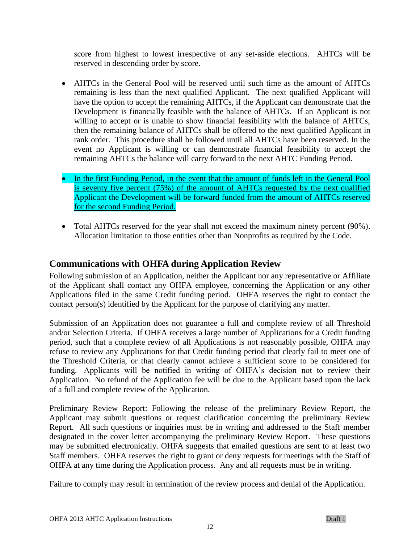score from highest to lowest irrespective of any set-aside elections. AHTCs will be reserved in descending order by score.

- AHTCs in the General Pool will be reserved until such time as the amount of AHTCs remaining is less than the next qualified Applicant. The next qualified Applicant will have the option to accept the remaining AHTCs, if the Applicant can demonstrate that the Development is financially feasible with the balance of AHTCs. If an Applicant is not willing to accept or is unable to show financial feasibility with the balance of AHTCs, then the remaining balance of AHTCs shall be offered to the next qualified Applicant in rank order. This procedure shall be followed until all AHTCs have been reserved. In the event no Applicant is willing or can demonstrate financial feasibility to accept the remaining AHTCs the balance will carry forward to the next AHTC Funding Period.
- In the first Funding Period, in the event that the amount of funds left in the General Pool is seventy five percent (75%) of the amount of AHTCs requested by the next qualified Applicant the Development will be forward funded from the amount of AHTCs reserved for the second Funding Period.
- Total AHTCs reserved for the year shall not exceed the maximum ninety percent (90%). Allocation limitation to those entities other than Nonprofits as required by the Code.

# <span id="page-11-0"></span>**Communications with OHFA during Application Review**

Following submission of an Application, neither the Applicant nor any representative or Affiliate of the Applicant shall contact any OHFA employee, concerning the Application or any other Applications filed in the same Credit funding period. OHFA reserves the right to contact the contact person(s) identified by the Applicant for the purpose of clarifying any matter.

Submission of an Application does not guarantee a full and complete review of all Threshold and/or Selection Criteria. If OHFA receives a large number of Applications for a Credit funding period, such that a complete review of all Applications is not reasonably possible, OHFA may refuse to review any Applications for that Credit funding period that clearly fail to meet one of the Threshold Criteria, or that clearly cannot achieve a sufficient score to be considered for funding. Applicants will be notified in writing of OHFA's decision not to review their Application. No refund of the Application fee will be due to the Applicant based upon the lack of a full and complete review of the Application.

Preliminary Review Report: Following the release of the preliminary Review Report, the Applicant may submit questions or request clarification concerning the preliminary Review Report. All such questions or inquiries must be in writing and addressed to the Staff member designated in the cover letter accompanying the preliminary Review Report. These questions may be submitted electronically. OHFA suggests that emailed questions are sent to at least two Staff members. OHFA reserves the right to grant or deny requests for meetings with the Staff of OHFA at any time during the Application process. Any and all requests must be in writing.

Failure to comply may result in termination of the review process and denial of the Application.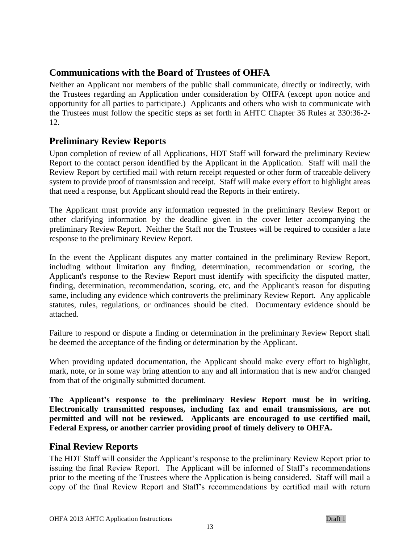# <span id="page-12-0"></span>**Communications with the Board of Trustees of OHFA**

Neither an Applicant nor members of the public shall communicate, directly or indirectly, with the Trustees regarding an Application under consideration by OHFA (except upon notice and opportunity for all parties to participate.) Applicants and others who wish to communicate with the Trustees must follow the specific steps as set forth in AHTC Chapter 36 Rules at 330:36-2- 12.

# <span id="page-12-1"></span>**Preliminary Review Reports**

Upon completion of review of all Applications, HDT Staff will forward the preliminary Review Report to the contact person identified by the Applicant in the Application. Staff will mail the Review Report by certified mail with return receipt requested or other form of traceable delivery system to provide proof of transmission and receipt. Staff will make every effort to highlight areas that need a response, but Applicant should read the Reports in their entirety.

The Applicant must provide any information requested in the preliminary Review Report or other clarifying information by the deadline given in the cover letter accompanying the preliminary Review Report. Neither the Staff nor the Trustees will be required to consider a late response to the preliminary Review Report.

In the event the Applicant disputes any matter contained in the preliminary Review Report, including without limitation any finding, determination, recommendation or scoring, the Applicant's response to the Review Report must identify with specificity the disputed matter, finding, determination, recommendation, scoring, etc, and the Applicant's reason for disputing same, including any evidence which controverts the preliminary Review Report. Any applicable statutes, rules, regulations, or ordinances should be cited. Documentary evidence should be attached.

Failure to respond or dispute a finding or determination in the preliminary Review Report shall be deemed the acceptance of the finding or determination by the Applicant.

When providing updated documentation, the Applicant should make every effort to highlight, mark, note, or in some way bring attention to any and all information that is new and/or changed from that of the originally submitted document.

**The Applicant's response to the preliminary Review Report must be in writing. Electronically transmitted responses, including fax and email transmissions, are not permitted and will not be reviewed. Applicants are encouraged to use certified mail, Federal Express, or another carrier providing proof of timely delivery to OHFA.**

# <span id="page-12-2"></span>**Final Review Reports**

The HDT Staff will consider the Applicant's response to the preliminary Review Report prior to issuing the final Review Report. The Applicant will be informed of Staff's recommendations prior to the meeting of the Trustees where the Application is being considered. Staff will mail a copy of the final Review Report and Staff's recommendations by certified mail with return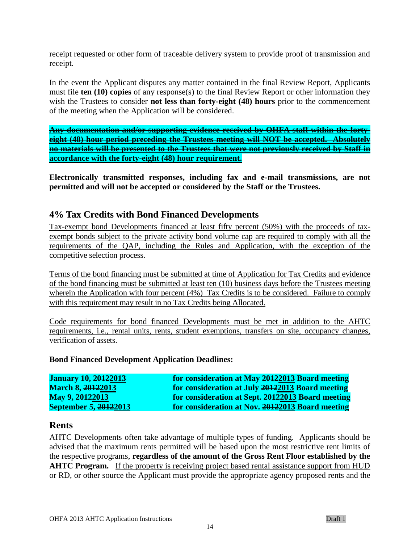receipt requested or other form of traceable delivery system to provide proof of transmission and receipt.

In the event the Applicant disputes any matter contained in the final Review Report, Applicants must file **ten (10) copies** of any response(s) to the final Review Report or other information they wish the Trustees to consider **not less than forty-eight (48) hours** prior to the commencement of the meeting when the Application will be considered.

**Any documentation and/or supporting evidence received by OHFA staff within the fortyeight (48) hour period preceding the Trustees meeting will NOT be accepted. Absolutely no materials will be presented to the Trustees that were not previously received by Staff in accordance with the forty-eight (48) hour requirement.**

**Electronically transmitted responses, including fax and e-mail transmissions, are not permitted and will not be accepted or considered by the Staff or the Trustees.**

### <span id="page-13-0"></span>**4% Tax Credits with Bond Financed Developments**

Tax-exempt bond Developments financed at least fifty percent (50%) with the proceeds of taxexempt bonds subject to the private activity bond volume cap are required to comply with all the requirements of the QAP, including the Rules and Application, with the exception of the competitive selection process.

Terms of the bond financing must be submitted at time of Application for Tax Credits and evidence of the bond financing must be submitted at least ten (10) business days before the Trustees meeting wherein the Application with four percent (4%) Tax Credits is to be considered. Failure to comply with this requirement may result in no Tax Credits being Allocated.

Code requirements for bond financed Developments must be met in addition to the AHTC requirements, i.e., rental units, rents, student exemptions, transfers on site, occupancy changes, verification of assets.

#### **Bond Financed Development Application Deadlines:**

| <b>January 10, 20122013</b> | for consideration at May 20122013 Board meeting   |
|-----------------------------|---------------------------------------------------|
| <b>March 8, 20122013</b>    | for consideration at July 20122013 Board meeting  |
| May 9, 20122013             | for consideration at Sept. 20122013 Board meeting |
| September 5, 20122013       | for consideration at Nov. 20122013 Board meeting  |

### <span id="page-13-1"></span>**Rents**

AHTC Developments often take advantage of multiple types of funding. Applicants should be advised that the maximum rents permitted will be based upon the most restrictive rent limits of the respective programs, **regardless of the amount of the Gross Rent Floor established by the AHTC Program.** If the property is receiving project based rental assistance support from HUD or RD, or other source the Applicant must provide the appropriate agency proposed rents and the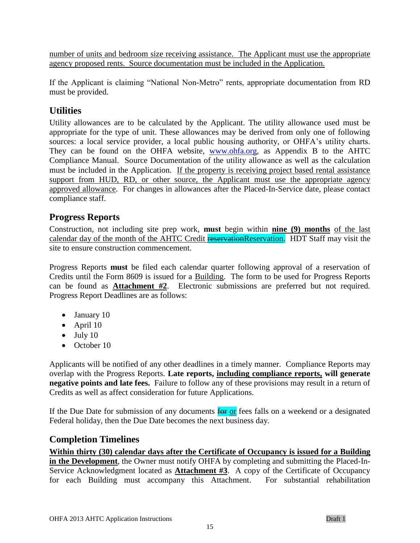number of units and bedroom size receiving assistance. The Applicant must use the appropriate agency proposed rents. Source documentation must be included in the Application.

If the Applicant is claiming "National Non-Metro" rents, appropriate documentation from RD must be provided.

# <span id="page-14-0"></span>**Utilities**

Utility allowances are to be calculated by the Applicant. The utility allowance used must be appropriate for the type of unit. These allowances may be derived from only one of following sources: a local service provider, a local public housing authority, or OHFA's utility charts. They can be found on the OHFA website, [www.ohfa.org,](http://www.ohfa.org/) as Appendix B to the AHTC Compliance Manual. Source Documentation of the utility allowance as well as the calculation must be included in the Application. If the property is receiving project based rental assistance support from HUD, RD, or other source, the Applicant must use the appropriate agency approved allowance. For changes in allowances after the Placed-In-Service date, please contact compliance staff.

# <span id="page-14-1"></span>**Progress Reports**

Construction, not including site prep work, **must** begin within **nine (9) months** of the last calendar day of the month of the AHTC Credit reservationReservation. HDT Staff may visit the site to ensure construction commencement.

Progress Reports **must** be filed each calendar quarter following approval of a reservation of Credits until the Form 8609 is issued for a Building. The form to be used for Progress Reports can be found as **Attachment #2**. Electronic submissions are preferred but not required. Progress Report Deadlines are as follows:

- January 10
- April 10
- $\bullet$  July 10
- October 10

Applicants will be notified of any other deadlines in a timely manner. Compliance Reports may overlap with the Progress Reports. **Late reports, including compliance reports, will generate negative points and late fees.** Failure to follow any of these provisions may result in a return of Credits as well as affect consideration for future Applications.

If the Due Date for submission of any documents  $\frac{1}{\pi}$  or fees falls on a weekend or a designated Federal holiday, then the Due Date becomes the next business day.

# <span id="page-14-2"></span>**Completion Timelines**

**Within thirty (30) calendar days after the Certificate of Occupancy is issued for a Building in the Development**, the Owner must notify OHFA by completing and submitting the Placed-In-Service Acknowledgment located as **Attachment #3**. A copy of the Certificate of Occupancy for each Building must accompany this Attachment. For substantial rehabilitation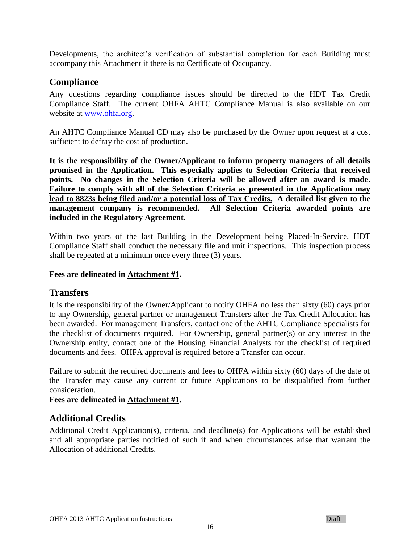Developments, the architect's verification of substantial completion for each Building must accompany this Attachment if there is no Certificate of Occupancy.

# <span id="page-15-0"></span>**Compliance**

Any questions regarding compliance issues should be directed to the HDT Tax Credit Compliance Staff. The current OHFA AHTC Compliance Manual is also available on our website at [www.ohfa.org.](http://www.ohfa.org/)

An AHTC Compliance Manual CD may also be purchased by the Owner upon request at a cost sufficient to defray the cost of production.

**It is the responsibility of the Owner/Applicant to inform property managers of all details promised in the Application. This especially applies to Selection Criteria that received points. No changes in the Selection Criteria will be allowed after an award is made. Failure to comply with all of the Selection Criteria as presented in the Application may lead to 8823s being filed and/or a potential loss of Tax Credits. A detailed list given to the management company is recommended. All Selection Criteria awarded points are included in the Regulatory Agreement.**

Within two years of the last Building in the Development being Placed-In-Service, HDT Compliance Staff shall conduct the necessary file and unit inspections. This inspection process shall be repeated at a minimum once every three (3) years.

#### <span id="page-15-1"></span>**Fees are delineated in Attachment #1.**

#### **Transfers**

It is the responsibility of the Owner/Applicant to notify OHFA no less than sixty (60) days prior to any Ownership, general partner or management Transfers after the Tax Credit Allocation has been awarded. For management Transfers, contact one of the AHTC Compliance Specialists for the checklist of documents required. For Ownership, general partner(s) or any interest in the Ownership entity, contact one of the Housing Financial Analysts for the checklist of required documents and fees. OHFA approval is required before a Transfer can occur.

Failure to submit the required documents and fees to OHFA within sixty (60) days of the date of the Transfer may cause any current or future Applications to be disqualified from further consideration.

#### **Fees are delineated in Attachment #1.**

# <span id="page-15-2"></span>**Additional Credits**

Additional Credit Application(s), criteria, and deadline(s) for Applications will be established and all appropriate parties notified of such if and when circumstances arise that warrant the Allocation of additional Credits.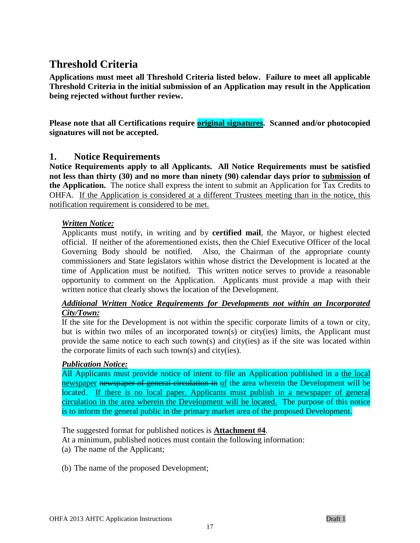# <span id="page-16-0"></span>**Threshold Criteria**

**Applications must meet all Threshold Criteria listed below. Failure to meet all applicable Threshold Criteria in the initial submission of an Application may result in the Application being rejected without further review.** 

Please note that all Certifications require **original signatures**. Scanned and/or photocopied **signatures will not be accepted.**

### <span id="page-16-1"></span>**1. Notice Requirements**

**Notice Requirements apply to all Applicants. All Notice Requirements must be satisfied not less than thirty (30) and no more than ninety (90) calendar days prior to submission of the Application.** The notice shall express the intent to submit an Application for Tax Credits to OHFA. If the Application is considered at a different Trustees meeting than in the notice, this notification requirement is considered to be met.

#### *Written Notice:*

Applicants must notify, in writing and by **certified mail**, the Mayor, or highest elected official. If neither of the aforementioned exists, then the Chief Executive Officer of the local Governing Body should be notified. Also, the Chairman of the appropriate county commissioners and State legislators within whose district the Development is located at the time of Application must be notified. This written notice serves to provide a reasonable opportunity to comment on the Application. Applicants must provide a map with their written notice that clearly shows the location of the Development.

#### *Additional Written Notice Requirements for Developments not within an Incorporated City/Town:*

If the site for the Development is not within the specific corporate limits of a town or city, but is within two miles of an incorporated town(s) or city(ies) limits, the Applicant must provide the same notice to each such town(s) and city(ies) as if the site was located within the corporate limits of each such town(s) and city(ies).

#### *Publication Notice:*

All Applicants must provide notice of intent to file an Application published in a the local newspaper newspaper of general circulation in of the area wherein the Development will be located. If there is no local paper, Applicants must publish in a newspaper of general circulation in the area wherein the Development will be located. The purpose of this notice is to inform the general public in the primary market area of the proposed Development.

The suggested format for published notices is **Attachment #4**.

At a minimum, published notices must contain the following information:

- (a) The name of the Applicant;
- (b) The name of the proposed Development;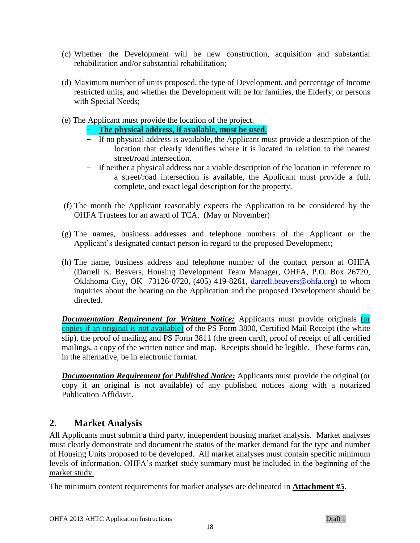- (c) Whether the Development will be new construction, acquisition and substantial rehabilitation and/or substantial rehabilitation;
- (d) Maximum number of units proposed, the type of Development, and percentage of Income restricted units, and whether the Development will be for families, the Elderly, or persons with Special Needs;
- (e) The Applicant must provide the location of the project.
	- **The physical address, if available, must be used**.
	- If no physical address is available, the Applicant must provide a description of the location that clearly identifies where it is located in relation to the nearest street/road intersection.
	- If neither a physical address nor a viable description of the location in reference to a street/road intersection is available, the Applicant must provide a full, complete, and exact legal description for the property.
- (f) The month the Applicant reasonably expects the Application to be considered by the OHFA Trustees for an award of TCA. (May or November)
- (g) The names, business addresses and telephone numbers of the Applicant or the Applicant's designated contact person in regard to the proposed Development;
- (h) The name, business address and telephone number of the contact person at OHFA (Darrell K. Beavers, Housing Development Team Manager, OHFA, P.O. Box 26720, Oklahoma City, OK 73126-0720, (405) 419-8261, [darrell.beavers@ohfa.org\)](mailto:darrell.beavers@ohfa.org) to whom inquiries about the hearing on the Application and the proposed Development should be directed.

*Documentation Requirement for Written Notice:* Applicants must provide originals (or copies if an original is not available) of the PS Form 3800, Certified Mail Receipt (the white slip), the proof of mailing and PS Form 3811 (the green card), proof of receipt of all certified mailings, a copy of the written notice and map. Receipts should be legible. These forms can, in the alternative, be in electronic format.

*Documentation Requirement for Published Notice:* Applicants must provide the original (or copy if an original is not available) of any published notices along with a notarized Publication Affidavit.

# <span id="page-17-0"></span>**2. Market Analysis**

All Applicants must submit a third party, independent housing market analysis. Market analyses must clearly demonstrate and document the status of the market demand for the type and number of Housing Units proposed to be developed. All market analyses must contain specific minimum levels of information. OHFA's market study summary must be included in the beginning of the market study.

The minimum content requirements for market analyses are delineated in **Attachment #5**.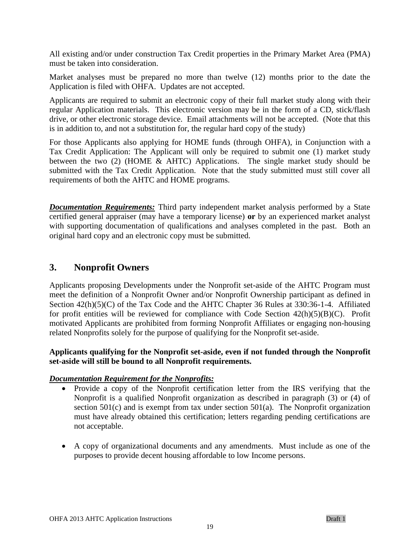All existing and/or under construction Tax Credit properties in the Primary Market Area (PMA) must be taken into consideration.

Market analyses must be prepared no more than twelve (12) months prior to the date the Application is filed with OHFA. Updates are not accepted.

Applicants are required to submit an electronic copy of their full market study along with their regular Application materials. This electronic version may be in the form of a CD, stick/flash drive, or other electronic storage device. Email attachments will not be accepted. (Note that this is in addition to, and not a substitution for, the regular hard copy of the study)

For those Applicants also applying for HOME funds (through OHFA), in Conjunction with a Tax Credit Application: The Applicant will only be required to submit one (1) market study between the two (2) (HOME & AHTC) Applications. The single market study should be submitted with the Tax Credit Application. Note that the study submitted must still cover all requirements of both the AHTC and HOME programs.

*Documentation Requirements:* Third party independent market analysis performed by a State certified general appraiser (may have a temporary license) **or** by an experienced market analyst with supporting documentation of qualifications and analyses completed in the past. Both an original hard copy and an electronic copy must be submitted.

### <span id="page-18-0"></span>**3. Nonprofit Owners**

Applicants proposing Developments under the Nonprofit set-aside of the AHTC Program must meet the definition of a Nonprofit Owner and/or Nonprofit Ownership participant as defined in Section 42(h)(5)(C) of the Tax Code and the AHTC Chapter 36 Rules at 330:36-1-4. Affiliated for profit entities will be reviewed for compliance with Code Section  $42(h)(5)(B)(C)$ . Profit motivated Applicants are prohibited from forming Nonprofit Affiliates or engaging non-housing related Nonprofits solely for the purpose of qualifying for the Nonprofit set-aside.

#### **Applicants qualifying for the Nonprofit set-aside, even if not funded through the Nonprofit set-aside will still be bound to all Nonprofit requirements.**

#### *Documentation Requirement for the Nonprofits:*

- Provide a copy of the Nonprofit certification letter from the IRS verifying that the Nonprofit is a qualified Nonprofit organization as described in paragraph (3) or (4) of section 501(c) and is exempt from tax under section 501(a). The Nonprofit organization must have already obtained this certification; letters regarding pending certifications are not acceptable.
- A copy of organizational documents and any amendments. Must include as one of the purposes to provide decent housing affordable to low Income persons.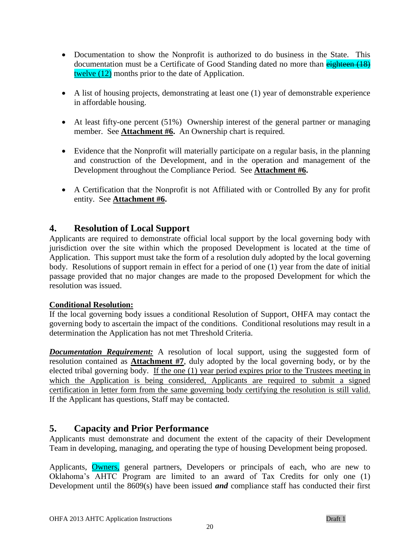- Documentation to show the Nonprofit is authorized to do business in the State. This documentation must be a Certificate of Good Standing dated no more than eighteen (18) twelve (12) months prior to the date of Application.
- A list of housing projects, demonstrating at least one (1) year of demonstrable experience in affordable housing.
- At least fifty-one percent (51%) Ownership interest of the general partner or managing member. See **Attachment #6.** An Ownership chart is required.
- Evidence that the Nonprofit will materially participate on a regular basis, in the planning and construction of the Development, and in the operation and management of the Development throughout the Compliance Period. See **Attachment #6.**
- A Certification that the Nonprofit is not Affiliated with or Controlled By any for profit entity. See **Attachment #6.**

### <span id="page-19-0"></span>**4. Resolution of Local Support**

Applicants are required to demonstrate official local support by the local governing body with jurisdiction over the site within which the proposed Development is located at the time of Application. This support must take the form of a resolution duly adopted by the local governing body. Resolutions of support remain in effect for a period of one (1) year from the date of initial passage provided that no major changes are made to the proposed Development for which the resolution was issued.

#### **Conditional Resolution:**

If the local governing body issues a conditional Resolution of Support, OHFA may contact the governing body to ascertain the impact of the conditions. Conditional resolutions may result in a determination the Application has not met Threshold Criteria.

**Documentation Requirement:** A resolution of local support, using the suggested form of resolution contained as **Attachment #7**, duly adopted by the local governing body, or by the elected tribal governing body. If the one (1) year period expires prior to the Trustees meeting in which the Application is being considered, Applicants are required to submit a signed certification in letter form from the same governing body certifying the resolution is still valid. If the Applicant has questions, Staff may be contacted.

### <span id="page-19-1"></span>**5. Capacity and Prior Performance**

Applicants must demonstrate and document the extent of the capacity of their Development Team in developing, managing, and operating the type of housing Development being proposed.

Applicants, **Owners**, general partners, Developers or principals of each, who are new to Oklahoma's AHTC Program are limited to an award of Tax Credits for only one (1) Development until the 8609(s) have been issued *and* compliance staff has conducted their first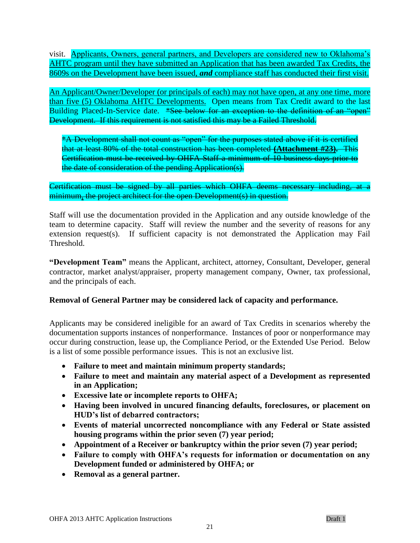visit. Applicants, Owners, general partners, and Developers are considered new to Oklahoma's AHTC program until they have submitted an Application that has been awarded Tax Credits, the 8609s on the Development have been issued, *and* compliance staff has conducted their first visit.

An Applicant/Owner/Developer (or principals of each) may not have open, at any one time, more than five (5) Oklahoma AHTC Developments. Open means from Tax Credit award to the last Building Placed-In-Service date. \*See below for an exception to the definition of an "open" Development. If this requirement is not satisfied this may be a Failed Threshold.

\*A Development shall not count as "open" for the purposes stated above if it is certified that at least 80% of the total construction has been completed **(Attachment #23).** This Certification must be received by OHFA Staff a minimum of 10 business days prior to the date of consideration of the pending Application(s).

Certification must be signed by all parties which OHFA deems necessary including, at a minimum, the project architect for the open Development(s) in question.

Staff will use the documentation provided in the Application and any outside knowledge of the team to determine capacity. Staff will review the number and the severity of reasons for any extension request(s). If sufficient capacity is not demonstrated the Application may Fail Threshold.

**"Development Team"** means the Applicant, architect, attorney, Consultant, Developer, general contractor, market analyst/appraiser, property management company, Owner, tax professional, and the principals of each.

#### **Removal of General Partner may be considered lack of capacity and performance.**

Applicants may be considered ineligible for an award of Tax Credits in scenarios whereby the documentation supports instances of nonperformance. Instances of poor or nonperformance may occur during construction, lease up, the Compliance Period, or the Extended Use Period. Below is a list of some possible performance issues. This is not an exclusive list.

- **Failure to meet and maintain minimum property standards;**
- **Failure to meet and maintain any material aspect of a Development as represented in an Application;**
- **Excessive late or incomplete reports to OHFA;**
- **Having been involved in uncured financing defaults, foreclosures, or placement on HUD's list of debarred contractors;**
- **Events of material uncorrected noncompliance with any Federal or State assisted housing programs within the prior seven (7) year period;**
- **Appointment of a Receiver or bankruptcy within the prior seven (7) year period;**
- **Failure to comply with OHFA's requests for information or documentation on any Development funded or administered by OHFA; or**
- **Removal as a general partner.**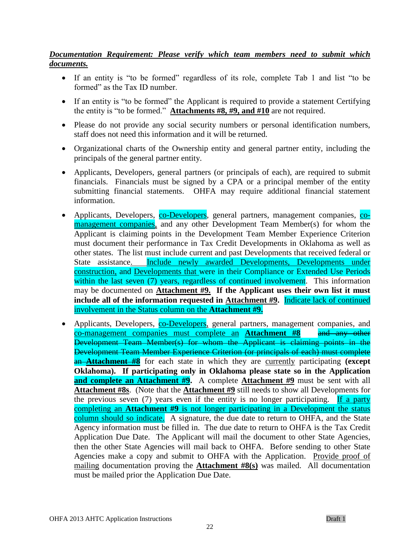### *Documentation Requirement: Please verify which team members need to submit which documents.*

- If an entity is "to be formed" regardless of its role, complete Tab 1 and list "to be formed" as the Tax ID number.
- If an entity is "to be formed" the Applicant is required to provide a statement Certifying the entity is "to be formed." **Attachments #8, #9, and #10** are not required.
- Please do not provide any social security numbers or personal identification numbers, staff does not need this information and it will be returned.
- Organizational charts of the Ownership entity and general partner entity, including the principals of the general partner entity.
- Applicants, Developers, general partners (or principals of each), are required to submit financials. Financials must be signed by a CPA or a principal member of the entity submitting financial statements. OHFA may require additional financial statement information.
- Applicants, Developers, co-Developers, general partners, management companies, comanagement companies, and any other Development Team Member(s) for whom the Applicant is claiming points in the Development Team Member Experience Criterion must document their performance in Tax Credit Developments in Oklahoma as well as other states. The list must include current and past Developments that received federal or State assistance. Include newly awarded Developments, Developments under construction, and Developments that were in their Compliance or Extended Use Periods within the last seven (7) years, regardless of continued involvement. This information may be documented on **Attachment #9. If the Applicant uses their own list it must include all of the information requested in Attachment #9.** Indicate lack of continued involvement in the Status column on the **Attachment #9.**
- Applicants, Developers, co-Developers, general partners, management companies, and co-management companies must complete an **Attachment #8** and any other Development Team Member(s) for whom the Applicant is claiming points in the Development Team Member Experience Criterion (or principals of each) must complete an **Attachment #8** for each state in which they are currently participating **(except Oklahoma). If participating only in Oklahoma please state so in the Application and complete an Attachment #9.** A complete **Attachment #9** must be sent with all **Attachment #8s**. (Note that the **Attachment #9** still needs to show all Developments for the previous seven (7) years even if the entity is no longer participating. If a party completing an **Attachment #9** is not longer participating in a Development the status column should so indicate. A signature, the due date to return to OHFA, and the State Agency information must be filled in. The due date to return to OHFA is the Tax Credit Application Due Date. The Applicant will mail the document to other State Agencies, then the other State Agencies will mail back to OHFA. Before sending to other State Agencies make a copy and submit to OHFA with the Application. Provide proof of mailing documentation proving the **Attachment #8(s)** was mailed. All documentation must be mailed prior the Application Due Date.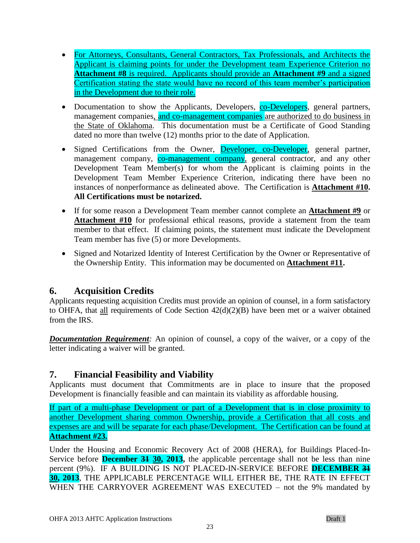- For Attorneys, Consultants, General Contractors, Tax Professionals, and Architects the Applicant is claiming points for under the Development team Experience Criterion no **Attachment #8** is required. Applicants should provide an **Attachment #9** and a signed Certification stating the state would have no record of this team member's participation in the Development due to their role.
- Documentation to show the Applicants, Developers, co-Developers, general partners, management companies, and co-management companies are authorized to do business in the State of Oklahoma. This documentation must be a Certificate of Good Standing dated no more than twelve (12) months prior to the date of Application.
- Signed Certifications from the Owner, Developer, co-Developer, general partner, management company, co-management company, general contractor, and any other Development Team Member(s) for whom the Applicant is claiming points in the Development Team Member Experience Criterion, indicating there have been no instances of nonperformance as delineated above. The Certification is **Attachment #10. All Certifications must be notarized.**
- If for some reason a Development Team member cannot complete an **Attachment #9** or Attachment #10 for professional ethical reasons, provide a statement from the team member to that effect. If claiming points, the statement must indicate the Development Team member has five (5) or more Developments.
- Signed and Notarized Identity of Interest Certification by the Owner or Representative of the Ownership Entity. This information may be documented on **Attachment #11.**

# <span id="page-22-0"></span>**6. Acquisition Credits**

Applicants requesting acquisition Credits must provide an opinion of counsel, in a form satisfactory to OHFA, that all requirements of Code Section 42(d)(2)(B) have been met or a waiver obtained from the IRS.

*Documentation Requirement:* An opinion of counsel, a copy of the waiver, or a copy of the letter indicating a waiver will be granted.

# <span id="page-22-1"></span>**7. Financial Feasibility and Viability**

Applicants must document that Commitments are in place to insure that the proposed Development is financially feasible and can maintain its viability as affordable housing.

If part of a multi-phase Development or part of a Development that is in close proximity to another Development sharing common Ownership, provide a Certification that all costs and expenses are and will be separate for each phase/Development. The Certification can be found at **Attachment #23.**

Under the Housing and Economic Recovery Act of 2008 (HERA), for Buildings Placed-In-Service before **December 31 30, 2013,** the applicable percentage shall not be less than nine percent (9%). IF A BUILDING IS NOT PLACED-IN-SERVICE BEFORE **DECEMBER 31 30, 2013**, THE APPLICABLE PERCENTAGE WILL EITHER BE, THE RATE IN EFFECT WHEN THE CARRYOVER AGREEMENT WAS EXECUTED – not the 9% mandated by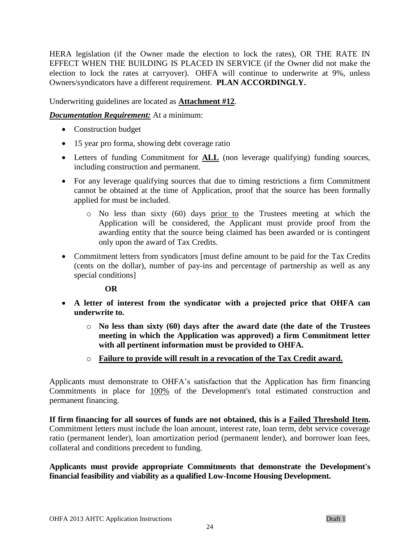HERA legislation (if the Owner made the election to lock the rates), OR THE RATE IN EFFECT WHEN THE BUILDING IS PLACED IN SERVICE (if the Owner did not make the election to lock the rates at carryover). OHFA will continue to underwrite at 9%, unless Owners/syndicators have a different requirement. **PLAN ACCORDINGLY.**

Underwriting guidelines are located as **Attachment #12**.

*Documentation Requirement:* At a minimum:

- Construction budget
- 15 year pro forma, showing debt coverage ratio
- Letters of funding Commitment for **ALL** (non leverage qualifying) funding sources, including construction and permanent.
- For any leverage qualifying sources that due to timing restrictions a firm Commitment cannot be obtained at the time of Application, proof that the source has been formally applied for must be included.
	- $\circ$  No less than sixty (60) days prior to the Trustees meeting at which the Application will be considered, the Applicant must provide proof from the awarding entity that the source being claimed has been awarded or is contingent only upon the award of Tax Credits.
- Commitment letters from syndicators [must define amount to be paid for the Tax Credits (cents on the dollar), number of pay-ins and percentage of partnership as well as any special conditions]

#### **OR**

- **A letter of interest from the syndicator with a projected price that OHFA can underwrite to.** 
	- o **No less than sixty (60) days after the award date (the date of the Trustees meeting in which the Application was approved) a firm Commitment letter with all pertinent information must be provided to OHFA.**
	- o **Failure to provide will result in a revocation of the Tax Credit award.**

Applicants must demonstrate to OHFA's satisfaction that the Application has firm financing Commitments in place for 100% of the Development's total estimated construction and permanent financing.

**If firm financing for all sources of funds are not obtained, this is a Failed Threshold Item.**  Commitment letters must include the loan amount, interest rate, loan term, debt service coverage ratio (permanent lender), loan amortization period (permanent lender), and borrower loan fees, collateral and conditions precedent to funding.

#### **Applicants must provide appropriate Commitments that demonstrate the Development's financial feasibility and viability as a qualified Low-Income Housing Development.**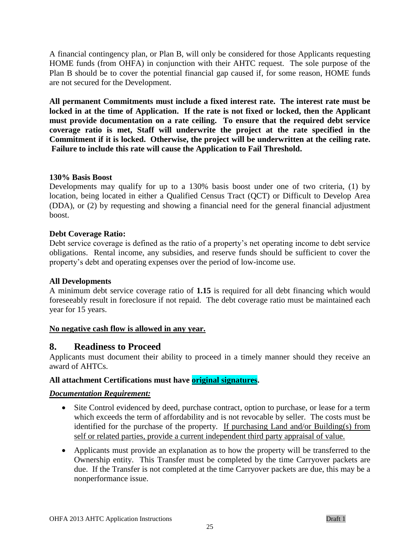A financial contingency plan, or Plan B, will only be considered for those Applicants requesting HOME funds (from OHFA) in conjunction with their AHTC request. The sole purpose of the Plan B should be to cover the potential financial gap caused if, for some reason, HOME funds are not secured for the Development.

**All permanent Commitments must include a fixed interest rate. The interest rate must be locked in at the time of Application. If the rate is not fixed or locked, then the Applicant must provide documentation on a rate ceiling. To ensure that the required debt service coverage ratio is met, Staff will underwrite the project at the rate specified in the Commitment if it is locked. Otherwise, the project will be underwritten at the ceiling rate. Failure to include this rate will cause the Application to Fail Threshold.**

#### **130% Basis Boost**

Developments may qualify for up to a 130% basis boost under one of two criteria, (1) by location, being located in either a Qualified Census Tract (QCT) or Difficult to Develop Area (DDA), or (2) by requesting and showing a financial need for the general financial adjustment boost.

#### **Debt Coverage Ratio:**

Debt service coverage is defined as the ratio of a property's net operating income to debt service obligations. Rental income, any subsidies, and reserve funds should be sufficient to cover the property's debt and operating expenses over the period of low-income use.

#### **All Developments**

A minimum debt service coverage ratio of **1.15** is required for all debt financing which would foreseeably result in foreclosure if not repaid. The debt coverage ratio must be maintained each year for 15 years.

#### **No negative cash flow is allowed in any year.**

#### <span id="page-24-0"></span>**8. Readiness to Proceed**

Applicants must document their ability to proceed in a timely manner should they receive an award of AHTCs.

#### **All attachment Certifications must have original signatures.**

#### *Documentation Requirement:*

- Site Control evidenced by deed, purchase contract, option to purchase, or lease for a term which exceeds the term of affordability and is not revocable by seller. The costs must be identified for the purchase of the property. If purchasing Land and/or Building(s) from self or related parties, provide a current independent third party appraisal of value.
- Applicants must provide an explanation as to how the property will be transferred to the Ownership entity. This Transfer must be completed by the time Carryover packets are due. If the Transfer is not completed at the time Carryover packets are due, this may be a nonperformance issue.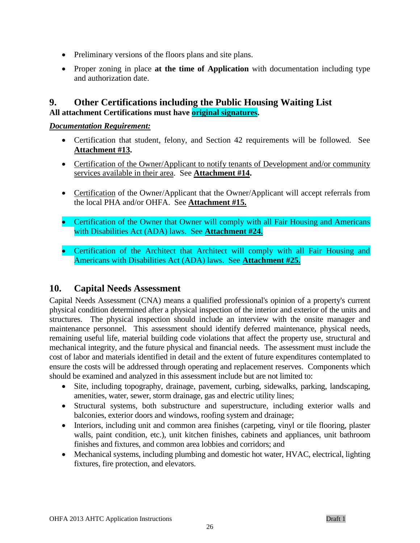- Preliminary versions of the floors plans and site plans.
- Proper zoning in place **at the time of Application** with documentation including type and authorization date.

### <span id="page-25-0"></span>**9. Other Certifications including the Public Housing Waiting List All attachment Certifications must have original signatures.**

#### *Documentation Requirement:*

- Certification that student, felony, and Section 42 requirements will be followed. See **Attachment #13.**
- Certification of the Owner/Applicant to notify tenants of Development and/or community services available in their area. See **Attachment #14.**
- Certification of the Owner/Applicant that the Owner/Applicant will accept referrals from the local PHA and/or OHFA. See **Attachment #15.**
- Certification of the Owner that Owner will comply with all Fair Housing and Americans with Disabilities Act (ADA) laws. See **Attachment #24.**
- Certification of the Architect that Architect will comply with all Fair Housing and Americans with Disabilities Act (ADA) laws. See **Attachment #25.**

# <span id="page-25-1"></span>**10. Capital Needs Assessment**

Capital Needs Assessment (CNA) means a qualified professional's opinion of a property's current physical condition determined after a physical inspection of the interior and exterior of the units and structures. The physical inspection should include an interview with the onsite manager and maintenance personnel. This assessment should identify deferred maintenance, physical needs, remaining useful life, material building code violations that affect the property use, structural and mechanical integrity, and the future physical and financial needs. The assessment must include the cost of labor and materials identified in detail and the extent of future expenditures contemplated to ensure the costs will be addressed through operating and replacement reserves. Components which should be examined and analyzed in this assessment include but are not limited to:

- Site, including topography, drainage, pavement, curbing, sidewalks, parking, landscaping, amenities, water, sewer, storm drainage, gas and electric utility lines;
- Structural systems, both substructure and superstructure, including exterior walls and balconies, exterior doors and windows, roofing system and drainage;
- Interiors, including unit and common area finishes (carpeting, vinyl or tile flooring, plaster walls, paint condition, etc.), unit kitchen finishes, cabinets and appliances, unit bathroom finishes and fixtures, and common area lobbies and corridors; and
- Mechanical systems, including plumbing and domestic hot water, HVAC, electrical, lighting fixtures, fire protection, and elevators.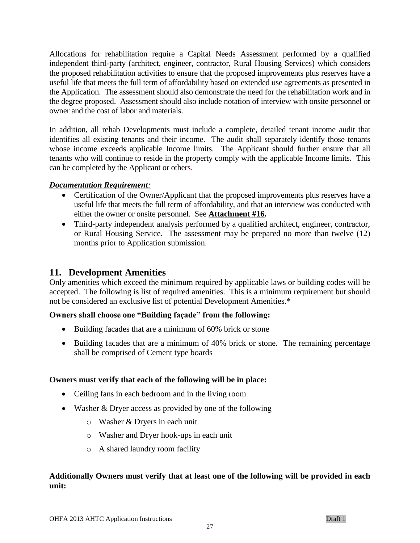Allocations for rehabilitation require a Capital Needs Assessment performed by a qualified independent third-party (architect, engineer, contractor, Rural Housing Services) which considers the proposed rehabilitation activities to ensure that the proposed improvements plus reserves have a useful life that meets the full term of affordability based on extended use agreements as presented in the Application. The assessment should also demonstrate the need for the rehabilitation work and in the degree proposed. Assessment should also include notation of interview with onsite personnel or owner and the cost of labor and materials.

In addition, all rehab Developments must include a complete, detailed tenant income audit that identifies all existing tenants and their income. The audit shall separately identify those tenants whose income exceeds applicable Income limits. The Applicant should further ensure that all tenants who will continue to reside in the property comply with the applicable Income limits. This can be completed by the Applicant or others.

#### *Documentation Requirement:*

- Certification of the Owner/Applicant that the proposed improvements plus reserves have a useful life that meets the full term of affordability, and that an interview was conducted with either the owner or onsite personnel. See **Attachment #16.**
- Third-party independent analysis performed by a qualified architect, engineer, contractor, or Rural Housing Service. The assessment may be prepared no more than twelve (12) months prior to Application submission.

### <span id="page-26-0"></span>**11. Development Amenities**

Only amenities which exceed the minimum required by applicable laws or building codes will be accepted. The following is list of required amenities. This is a minimum requirement but should not be considered an exclusive list of potential Development Amenities.\*

#### **Owners shall choose one "Building façade" from the following:**

- Building facades that are a minimum of 60% brick or stone
- Building facades that are a minimum of 40% brick or stone. The remaining percentage shall be comprised of Cement type boards

#### **Owners must verify that each of the following will be in place:**

- Ceiling fans in each bedroom and in the living room
- Washer & Dryer access as provided by one of the following
	- o Washer & Dryers in each unit
	- o Washer and Dryer hook-ups in each unit
	- o A shared laundry room facility

### **Additionally Owners must verify that at least one of the following will be provided in each unit:**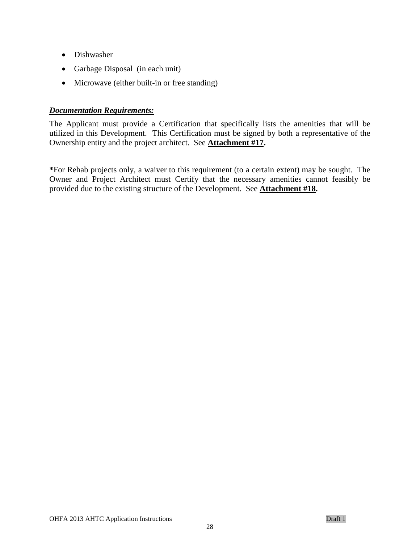- Dishwasher
- Garbage Disposal (in each unit)
- Microwave (either built-in or free standing)

#### *Documentation Requirements:*

The Applicant must provide a Certification that specifically lists the amenities that will be utilized in this Development. This Certification must be signed by both a representative of the Ownership entity and the project architect. See **Attachment #17.**

**\***For Rehab projects only, a waiver to this requirement (to a certain extent) may be sought. The Owner and Project Architect must Certify that the necessary amenities cannot feasibly be provided due to the existing structure of the Development. See **Attachment #18.**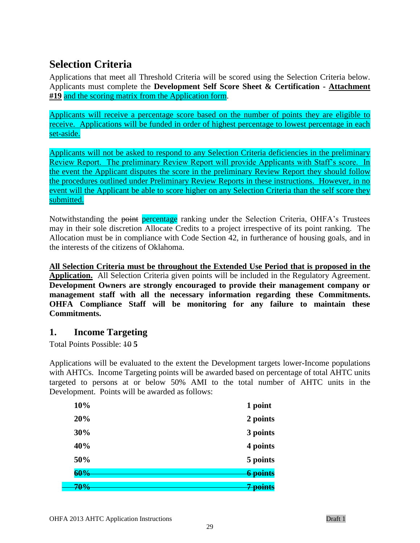# <span id="page-28-0"></span>**Selection Criteria**

Applications that meet all Threshold Criteria will be scored using the Selection Criteria below. Applicants must complete the **Development Self Score Sheet & Certification - Attachment #19** and the scoring matrix from the Application form.

Applicants will receive a percentage score based on the number of points they are eligible to receive. Applications will be funded in order of highest percentage to lowest percentage in each set-aside.

Applicants will not be asked to respond to any Selection Criteria deficiencies in the preliminary Review Report. The preliminary Review Report will provide Applicants with Staff's score. In the event the Applicant disputes the score in the preliminary Review Report they should follow the procedures outlined under Preliminary Review Reports in these instructions. However, in no event will the Applicant be able to score higher on any Selection Criteria than the self score they submitted.

Notwithstanding the point percentage ranking under the Selection Criteria, OHFA's Trustees may in their sole discretion Allocate Credits to a project irrespective of its point ranking. The Allocation must be in compliance with Code Section 42, in furtherance of housing goals, and in the interests of the citizens of Oklahoma.

**All Selection Criteria must be throughout the Extended Use Period that is proposed in the Application.** All Selection Criteria given points will be included in the Regulatory Agreement. **Development Owners are strongly encouraged to provide their management company or management staff with all the necessary information regarding these Commitments. OHFA Compliance Staff will be monitoring for any failure to maintain these Commitments.**

# <span id="page-28-1"></span>**1. Income Targeting**

Total Points Possible: 10 **5**

Applications will be evaluated to the extent the Development targets lower-Income populations with AHTCs. Income Targeting points will be awarded based on percentage of total AHTC units targeted to persons at or below 50% AMI to the total number of AHTC units in the Development. Points will be awarded as follows:

| 10% | 1 point         |
|-----|-----------------|
| 20% | 2 points        |
| 30% | 3 points        |
| 40% | 4 points        |
| 50% | 5 points        |
| 60% | <b>6 points</b> |
| 70% | nointe          |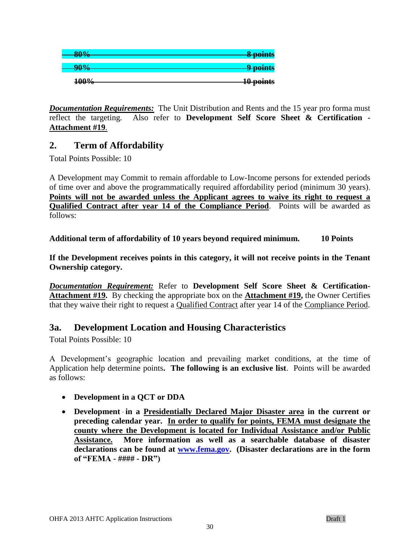| 80%         | 8 points  |
|-------------|-----------|
| 90%         | 9 points  |
| <b>100%</b> | 10 points |

*Documentation Requirements:* The Unit Distribution and Rents and the 15 year pro forma must reflect the targeting. Also refer to **Development Self Score Sheet & Certification - Attachment #19**.

# <span id="page-29-0"></span>**2. Term of Affordability**

Total Points Possible: 10

A Development may Commit to remain affordable to Low-Income persons for extended periods of time over and above the programmatically required affordability period (minimum 30 years). **Points will not be awarded unless the Applicant agrees to waive its right to request a Qualified Contract after year 14 of the Compliance Period**. Points will be awarded as follows:

**Additional term of affordability of 10 years beyond required minimum. 10 Points**

**If the Development receives points in this category, it will not receive points in the Tenant Ownership category.**

*Documentation Requirement:* **Refer to Development Self Score Sheet & Certification-Attachment #19.** By checking the appropriate box on the **Attachment #19,** the Owner Certifies that they waive their right to request a Qualified Contract after year 14 of the Compliance Period.

# <span id="page-29-1"></span>**3a. Development Location and Housing Characteristics**

Total Points Possible: 10

A Development's geographic location and prevailing market conditions, at the time of Application help determine points**. The following is an exclusive list**. Points will be awarded as follows:

- **Development in a QCT or DDA**
- **Development in a Presidentially Declared Major Disaster area in the current or preceding calendar year. In order to qualify for points, FEMA must designate the county where the Development is located for Individual Assistance and/or Public Assistance. More information as well as a searchable database of disaster declarations can be found at [www.fema.gov.](http://www.fema.gov/) (Disaster declarations are in the form of "FEMA - #### - DR")**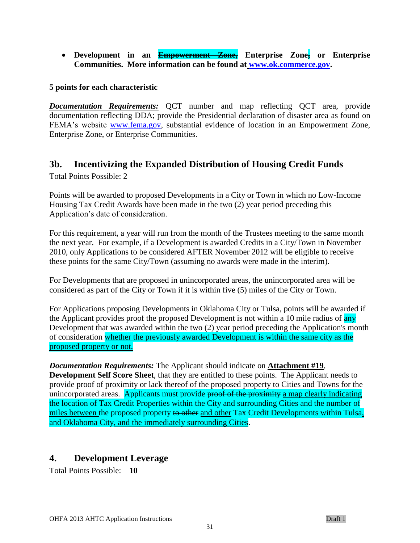**Development in an Empowerment Zone, Enterprise Zone, or Enterprise Communities. More information can be found at [www.ok.commerce.gov.](http://www.ok.commerce.gov/)** 

#### **5 points for each characteristic**

*Documentation Requirements:* QCT number and map reflecting QCT area, provide documentation reflecting DDA; provide the Presidential declaration of disaster area as found on FEMA's website [www.fema.gov,](http://www.fema.gov/) substantial evidence of location in an Empowerment Zone, Enterprise Zone, or Enterprise Communities.

### <span id="page-30-0"></span>**3b. Incentivizing the Expanded Distribution of Housing Credit Funds**

Total Points Possible: 2

Points will be awarded to proposed Developments in a City or Town in which no Low-Income Housing Tax Credit Awards have been made in the two (2) year period preceding this Application's date of consideration.

For this requirement, a year will run from the month of the Trustees meeting to the same month the next year. For example, if a Development is awarded Credits in a City/Town in November 2010, only Applications to be considered AFTER November 2012 will be eligible to receive these points for the same City/Town (assuming no awards were made in the interim).

For Developments that are proposed in unincorporated areas, the unincorporated area will be considered as part of the City or Town if it is within five (5) miles of the City or Town.

For Applications proposing Developments in Oklahoma City or Tulsa, points will be awarded if the Applicant provides proof the proposed Development is not within a 10 mile radius of any Development that was awarded within the two (2) year period preceding the Application's month of consideration whether the previously awarded Development is within the same city as the proposed property or not.

*Documentation Requirements:* The Applicant should indicate on **Attachment #19**, **Development Self Score Sheet**, that they are entitled to these points. The Applicant needs to provide proof of proximity or lack thereof of the proposed property to Cities and Towns for the unincorporated areas. Applicants must provide proof of the proximity a map clearly indicating the location of Tax Credit Properties within the City and surrounding Cities and the number of miles between the proposed property to other and other Tax Credit Developments within Tulsa, and Oklahoma City, and the immediately surrounding Cities.

# <span id="page-30-1"></span>**4. Development Leverage**

Total Points Possible: **10**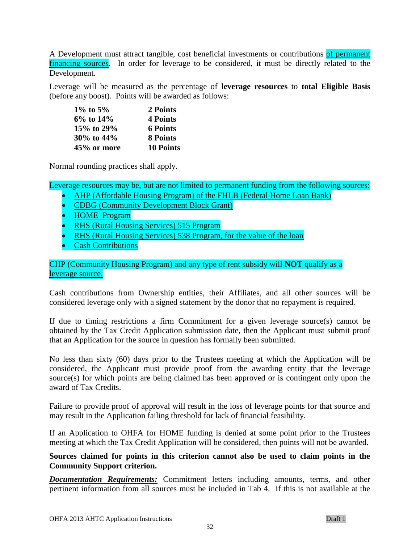A Development must attract tangible, cost beneficial investments or contributions of permanent financing sources. In order for leverage to be considered, it must be directly related to the Development.

Leverage will be measured as the percentage of **leverage resources** to **total Eligible Basis** (before any boost). Points will be awarded as follows:

| 1\% to 5\%      | 2 Points         |
|-----------------|------------------|
| $6\%$ to $14\%$ | 4 Points         |
| 15\% to 29\%    | <b>6 Points</b>  |
| 30% to 44%      | 8 Points         |
| 45% or more     | <b>10 Points</b> |

Normal rounding practices shall apply.

Leverage resources may be, but are not limited to permanent funding from the following sources:

- AHP (Affordable Housing Program) of the FHLB (Federal Home Loan Bank)
- CDBG (Community Development Block Grant)
- **HOME** Program
- **RHS (Rural Housing Services) 515 Program**
- **RHS** (Rural Housing Services) 538 Program, for the value of the loan
- Cash Contributions

#### CHP (Community Housing Program) and any type of rent subsidy will **NOT** qualify as a leverage source.

Cash contributions from Ownership entities, their Affiliates, and all other sources will be considered leverage only with a signed statement by the donor that no repayment is required.

If due to timing restrictions a firm Commitment for a given leverage source(s) cannot be obtained by the Tax Credit Application submission date, then the Applicant must submit proof that an Application for the source in question has formally been submitted.

No less than sixty (60) days prior to the Trustees meeting at which the Application will be considered, the Applicant must provide proof from the awarding entity that the leverage source(s) for which points are being claimed has been approved or is contingent only upon the award of Tax Credits.

Failure to provide proof of approval will result in the loss of leverage points for that source and may result in the Application failing threshold for lack of financial feasibility.

If an Application to OHFA for HOME funding is denied at some point prior to the Trustees meeting at which the Tax Credit Application will be considered, then points will not be awarded.

#### **Sources claimed for points in this criterion cannot also be used to claim points in the Community Support criterion.**

*Documentation Requirements:* Commitment letters including amounts, terms, and other pertinent information from all sources must be included in Tab 4. If this is not available at the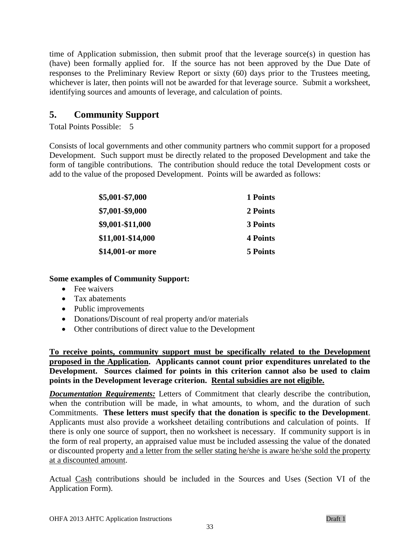time of Application submission, then submit proof that the leverage source(s) in question has (have) been formally applied for. If the source has not been approved by the Due Date of responses to the Preliminary Review Report or sixty (60) days prior to the Trustees meeting, whichever is later, then points will not be awarded for that leverage source. Submit a worksheet, identifying sources and amounts of leverage, and calculation of points.

# <span id="page-32-0"></span>**5. Community Support**

Total Points Possible: 5

Consists of local governments and other community partners who commit support for a proposed Development. Such support must be directly related to the proposed Development and take the form of tangible contributions. The contribution should reduce the total Development costs or add to the value of the proposed Development. Points will be awarded as follows:

| \$5,001-\$7,000   | 1 Points        |
|-------------------|-----------------|
| \$7,001-\$9,000   | 2 Points        |
| \$9,001-\$11,000  | 3 Points        |
| \$11,001-\$14,000 | <b>4 Points</b> |
| \$14,001-or more  | 5 Points        |

#### **Some examples of Community Support:**

- Fee waivers
- Tax abatements
- Public improvements
- Donations/Discount of real property and/or materials
- Other contributions of direct value to the Development

**To receive points, community support must be specifically related to the Development proposed in the Application. Applicants cannot count prior expenditures unrelated to the Development. Sources claimed for points in this criterion cannot also be used to claim points in the Development leverage criterion. Rental subsidies are not eligible.**

*Documentation Requirements:* Letters of Commitment that clearly describe the contribution, when the contribution will be made, in what amounts, to whom, and the duration of such Commitments. **These letters must specify that the donation is specific to the Development**. Applicants must also provide a worksheet detailing contributions and calculation of points. If there is only one source of support, then no worksheet is necessary. If community support is in the form of real property, an appraised value must be included assessing the value of the donated or discounted property and a letter from the seller stating he/she is aware he/she sold the property at a discounted amount.

Actual Cash contributions should be included in the Sources and Uses (Section VI of the Application Form).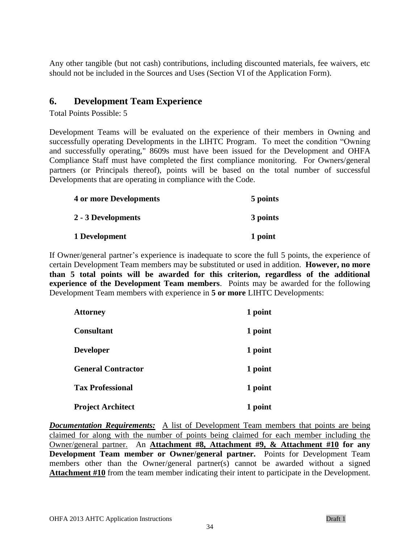Any other tangible (but not cash) contributions, including discounted materials, fee waivers, etc should not be included in the Sources and Uses (Section VI of the Application Form).

### <span id="page-33-0"></span>**6. Development Team Experience**

Total Points Possible: 5

Development Teams will be evaluated on the experience of their members in Owning and successfully operating Developments in the LIHTC Program. To meet the condition "Owning and successfully operating," 8609s must have been issued for the Development and OHFA Compliance Staff must have completed the first compliance monitoring. For Owners/general partners (or Principals thereof), points will be based on the total number of successful Developments that are operating in compliance with the Code.

| <b>4 or more Developments</b> | 5 points |
|-------------------------------|----------|
| 2 - 3 Developments            | 3 points |
| 1 Development                 | 1 point  |

If Owner/general partner's experience is inadequate to score the full 5 points, the experience of certain Development Team members may be substituted or used in addition. **However, no more than 5 total points will be awarded for this criterion, regardless of the additional experience of the Development Team members**. Points may be awarded for the following Development Team members with experience in **5 or more** LIHTC Developments:

| <b>Attorney</b>           | 1 point |
|---------------------------|---------|
| <b>Consultant</b>         | 1 point |
| <b>Developer</b>          | 1 point |
| <b>General Contractor</b> | 1 point |
| <b>Tax Professional</b>   | 1 point |
| <b>Project Architect</b>  | 1 point |

*Documentation Requirements:* A list of Development Team members that points are being claimed for along with the number of points being claimed for each member including the Owner/general partner. An **Attachment #8, Attachment #9, & Attachment #10 for any Development Team member or Owner/general partner.** Points for Development Team members other than the Owner/general partner(s) cannot be awarded without a signed **Attachment #10** from the team member indicating their intent to participate in the Development.

34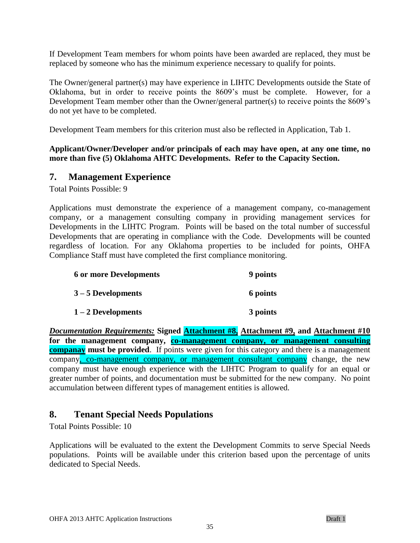If Development Team members for whom points have been awarded are replaced, they must be replaced by someone who has the minimum experience necessary to qualify for points.

The Owner/general partner(s) may have experience in LIHTC Developments outside the State of Oklahoma, but in order to receive points the 8609's must be complete. However, for a Development Team member other than the Owner/general partner(s) to receive points the 8609's do not yet have to be completed.

Development Team members for this criterion must also be reflected in Application, Tab 1.

#### **Applicant/Owner/Developer and/or principals of each may have open, at any one time, no more than five (5) Oklahoma AHTC Developments. Refer to the Capacity Section.**

### <span id="page-34-0"></span>**7. Management Experience**

Total Points Possible: 9

Applications must demonstrate the experience of a management company, co-management company, or a management consulting company in providing management services for Developments in the LIHTC Program. Points will be based on the total number of successful Developments that are operating in compliance with the Code. Developments will be counted regardless of location. For any Oklahoma properties to be included for points, OHFA Compliance Staff must have completed the first compliance monitoring.

| <b>6 or more Developments</b> | 9 points |
|-------------------------------|----------|
| $3 - 5$ Developments          | 6 points |
| $1-2$ Developments            | 3 points |

*Documentation Requirements:* **Signed Attachment #8, Attachment #9, and Attachment #10 for the management company, co-management company, or management consulting companay must be provided**. If points were given for this category and there is a management company, co-management company, or management consultant company change, the new company must have enough experience with the LIHTC Program to qualify for an equal or greater number of points, and documentation must be submitted for the new company. No point accumulation between different types of management entities is allowed.

# <span id="page-34-1"></span>**8. Tenant Special Needs Populations**

Total Points Possible: 10

Applications will be evaluated to the extent the Development Commits to serve Special Needs populations. Points will be available under this criterion based upon the percentage of units dedicated to Special Needs.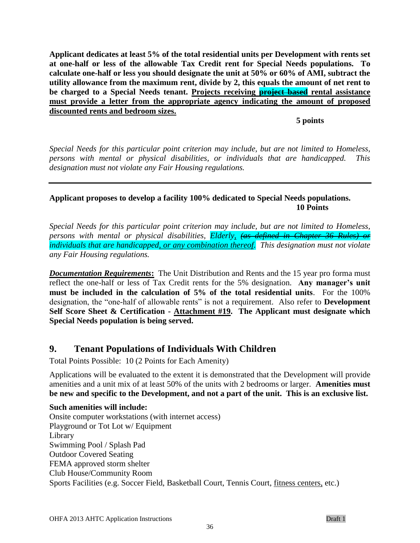**Applicant dedicates at least 5% of the total residential units per Development with rents set at one-half or less of the allowable Tax Credit rent for Special Needs populations. To calculate one-half or less you should designate the unit at 50% or 60% of AMI, subtract the utility allowance from the maximum rent, divide by 2, this equals the amount of net rent to be charged to a Special Needs tenant. Projects receiving project based rental assistance must provide a letter from the appropriate agency indicating the amount of proposed discounted rents and bedroom sizes.** 

**5 points**

*Special Needs for this particular point criterion may include, but are not limited to Homeless, persons with mental or physical disabilities, or individuals that are handicapped. This designation must not violate any Fair Housing regulations.*

### **Applicant proposes to develop a facility 100% dedicated to Special Needs populations. 10 Points**

*Special Needs for this particular point criterion may include, but are not limited to Homeless, persons with mental or physical disabilities, Elderly, (as defined in Chapter 36 Rules) or individuals that are handicapped, or any combination thereof. This designation must not violate any Fair Housing regulations.*

*Documentation Requirements*: The Unit Distribution and Rents and the 15 year pro forma must reflect the one-half or less of Tax Credit rents for the 5% designation. **Any manager's unit must be included in the calculation of 5% of the total residential units**. For the 100% designation, the "one-half of allowable rents" is not a requirement. Also refer to **Development Self Score Sheet & Certification - Attachment #19. The Applicant must designate which Special Needs population is being served.**

# <span id="page-35-0"></span>**9. Tenant Populations of Individuals With Children**

Total Points Possible: 10 (2 Points for Each Amenity)

Applications will be evaluated to the extent it is demonstrated that the Development will provide amenities and a unit mix of at least 50% of the units with 2 bedrooms or larger. **Amenities must be new and specific to the Development, and not a part of the unit. This is an exclusive list.**

**Such amenities will include:** Onsite computer workstations (with internet access) Playground or Tot Lot w/ Equipment Library Swimming Pool / Splash Pad Outdoor Covered Seating FEMA approved storm shelter Club House/Community Room Sports Facilities (e.g. Soccer Field, Basketball Court, Tennis Court, fitness centers, etc.)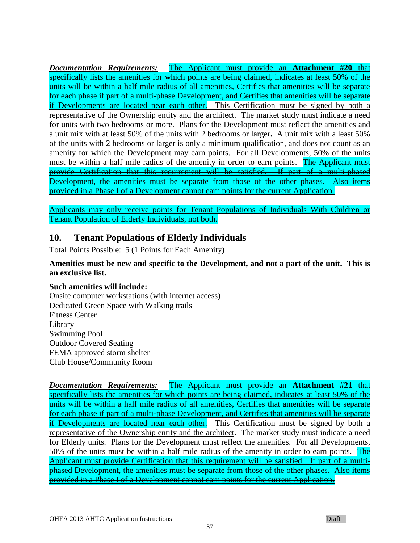*Documentation Requirements:* The Applicant must provide an **Attachment #20** that specifically lists the amenities for which points are being claimed, indicates at least 50% of the units will be within a half mile radius of all amenities, Certifies that amenities will be separate for each phase if part of a multi-phase Development, and Certifies that amenities will be separate if Developments are located near each other. This Certification must be signed by both a representative of the Ownership entity and the architect. The market study must indicate a need for units with two bedrooms or more. Plans for the Development must reflect the amenities and a unit mix with at least 50% of the units with 2 bedrooms or larger**.** A unit mix with a least 50% of the units with 2 bedrooms or larger is only a minimum qualification, and does not count as an amenity for which the Development may earn points. For all Developments, 50% of the units must be within a half mile radius of the amenity in order to earn points. The Applicant must provide Certification that this requirement will be satisfied. If part of a multi-phased Development, the amenities must be separate from those of the other phases. Also items provided in a Phase I of a Development cannot earn points for the current Application.

Applicants may only receive points for Tenant Populations of Individuals With Children or Tenant Population of Elderly Individuals, not both.

### **10. Tenant Populations of Elderly Individuals**

Total Points Possible: 5 (1 Points for Each Amenity)

### **Amenities must be new and specific to the Development, and not a part of the unit. This is an exclusive list.**

### **Such amenities will include:**

Onsite computer workstations (with internet access) Dedicated Green Space with Walking trails Fitness Center Library Swimming Pool Outdoor Covered Seating FEMA approved storm shelter Club House/Community Room

*Documentation Requirements:* The Applicant must provide an **Attachment #21** that specifically lists the amenities for which points are being claimed, indicates at least 50% of the units will be within a half mile radius of all amenities, Certifies that amenities will be separate for each phase if part of a multi-phase Development, and Certifies that amenities will be separate if Developments are located near each other. This Certification must be signed by both a representative of the Ownership entity and the architect. The market study must indicate a need for Elderly units. Plans for the Development must reflect the amenities. For all Developments, 50% of the units must be within a half mile radius of the amenity in order to earn points. The Applicant must provide Certification that this requirement will be satisfied. If part of a multiphased Development, the amenities must be separate from those of the other phases. Also items provided in a Phase I of a Development cannot earn points for the current Application.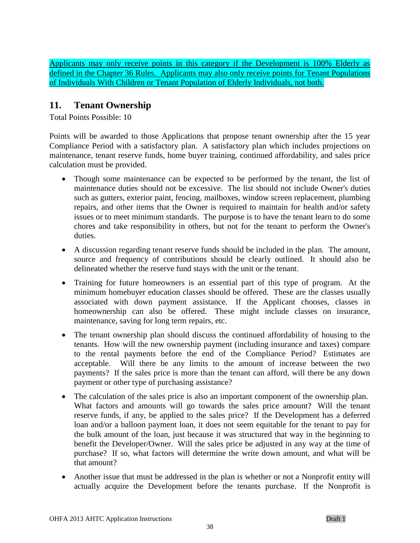Applicants may only receive points in this category if the Development is 100% Elderly as defined in the Chapter 36 Rules. Applicants may also only receive points for Tenant Populations of Individuals With Children or Tenant Population of Elderly Individuals, not both.

### **11. Tenant Ownership**

Total Points Possible: 10

Points will be awarded to those Applications that propose tenant ownership after the 15 year Compliance Period with a satisfactory plan. A satisfactory plan which includes projections on maintenance, tenant reserve funds, home buyer training, continued affordability, and sales price calculation must be provided.

- Though some maintenance can be expected to be performed by the tenant, the list of maintenance duties should not be excessive. The list should not include Owner's duties such as gutters, exterior paint, fencing, mailboxes, window screen replacement, plumbing repairs, and other items that the Owner is required to maintain for health and/or safety issues or to meet minimum standards. The purpose is to have the tenant learn to do some chores and take responsibility in others, but not for the tenant to perform the Owner's duties.
- A discussion regarding tenant reserve funds should be included in the plan. The amount, source and frequency of contributions should be clearly outlined. It should also be delineated whether the reserve fund stays with the unit or the tenant.
- Training for future homeowners is an essential part of this type of program. At the minimum homebuyer education classes should be offered. These are the classes usually associated with down payment assistance. If the Applicant chooses, classes in homeownership can also be offered. These might include classes on insurance, maintenance, saving for long term repairs, etc.
- The tenant ownership plan should discuss the continued affordability of housing to the tenants. How will the new ownership payment (including insurance and taxes) compare to the rental payments before the end of the Compliance Period? Estimates are acceptable. Will there be any limits to the amount of increase between the two payments? If the sales price is more than the tenant can afford, will there be any down payment or other type of purchasing assistance?
- The calculation of the sales price is also an important component of the ownership plan. What factors and amounts will go towards the sales price amount? Will the tenant reserve funds, if any, be applied to the sales price? If the Development has a deferred loan and/or a balloon payment loan, it does not seem equitable for the tenant to pay for the bulk amount of the loan, just because it was structured that way in the beginning to benefit the Developer/Owner. Will the sales price be adjusted in any way at the time of purchase? If so, what factors will determine the write down amount, and what will be that amount?
- Another issue that must be addressed in the plan is whether or not a Nonprofit entity will actually acquire the Development before the tenants purchase. If the Nonprofit is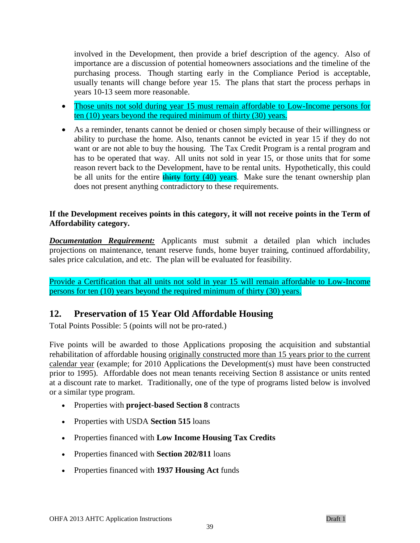involved in the Development, then provide a brief description of the agency. Also of importance are a discussion of potential homeowners associations and the timeline of the purchasing process. Though starting early in the Compliance Period is acceptable, usually tenants will change before year 15. The plans that start the process perhaps in years 10-13 seem more reasonable.

- Those units not sold during year 15 must remain affordable to Low-Income persons for ten (10) years beyond the required minimum of thirty (30) years.
- As a reminder, tenants cannot be denied or chosen simply because of their willingness or ability to purchase the home. Also, tenants cannot be evicted in year 15 if they do not want or are not able to buy the housing. The Tax Credit Program is a rental program and has to be operated that way. All units not sold in year 15, or those units that for some reason revert back to the Development, have to be rental units. Hypothetically, this could be all units for the entire thirty forty (40) years. Make sure the tenant ownership plan does not present anything contradictory to these requirements.

### **If the Development receives points in this category, it will not receive points in the Term of Affordability category.**

*Documentation Requirement:* Applicants must submit a detailed plan which includes projections on maintenance, tenant reserve funds, home buyer training, continued affordability, sales price calculation, and etc. The plan will be evaluated for feasibility.

Provide a Certification that all units not sold in year 15 will remain affordable to Low-Income persons for ten (10) years beyond the required minimum of thirty (30) years.

### **12. Preservation of 15 Year Old Affordable Housing**

Total Points Possible: 5 (points will not be pro-rated.)

Five points will be awarded to those Applications proposing the acquisition and substantial rehabilitation of affordable housing originally constructed more than 15 years prior to the current calendar year (example; for 2010 Applications the Development(s) must have been constructed prior to 1995). Affordable does not mean tenants receiving Section 8 assistance or units rented at a discount rate to market. Traditionally, one of the type of programs listed below is involved or a similar type program.

- Properties with **project-based Section 8** contracts
- Properties with USDA **Section 515** loans
- Properties financed with **Low Income Housing Tax Credits**
- Properties financed with **Section 202/811** loans
- Properties financed with **1937 Housing Act** funds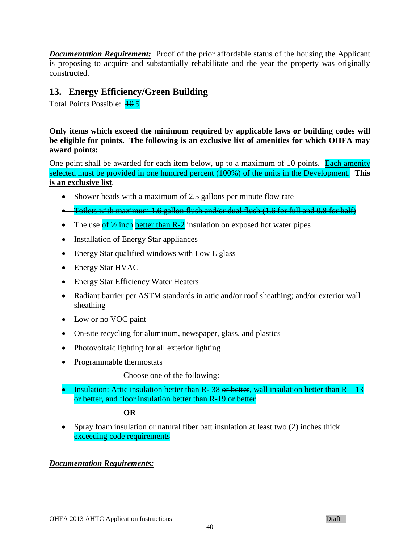*Documentation Requirement:* Proof of the prior affordable status of the housing the Applicant is proposing to acquire and substantially rehabilitate and the year the property was originally constructed.

### **13. Energy Efficiency/Green Building**

Total Points Possible:  $\frac{10}{5}$ 

**Only items which exceed the minimum required by applicable laws or building codes will be eligible for points. The following is an exclusive list of amenities for which OHFA may award points:**

One point shall be awarded for each item below, up to a maximum of 10 points. Each amenity selected must be provided in one hundred percent (100%) of the units in the Development. **This is an exclusive list**.

- Shower heads with a maximum of 2.5 gallons per minute flow rate
- Toilets with maximum 1.6 gallon flush and/or dual flush (1.6 for full and 0.8 for half)
- The use of  $\frac{1}{2}$  inch better than R-2 insulation on exposed hot water pipes
- Installation of Energy Star appliances
- Energy Star qualified windows with Low E glass
- Energy Star HVAC
- Energy Star Efficiency Water Heaters
- Radiant barrier per ASTM standards in attic and/or roof sheathing; and/or exterior wall sheathing
- Low or no VOC paint
- On-site recycling for aluminum, newspaper, glass, and plastics
- Photovoltaic lighting for all exterior lighting
- Programmable thermostats

Choose one of the following:

Insulation: Attic insulation better than R- 38 or better, wall insulation better than  $R - 13$ or better, and floor insulation better than R-19 or better

### **OR**

Spray foam insulation or natural fiber batt insulation at least two  $(2)$  inches thick exceeding code requirements

### *Documentation Requirements:*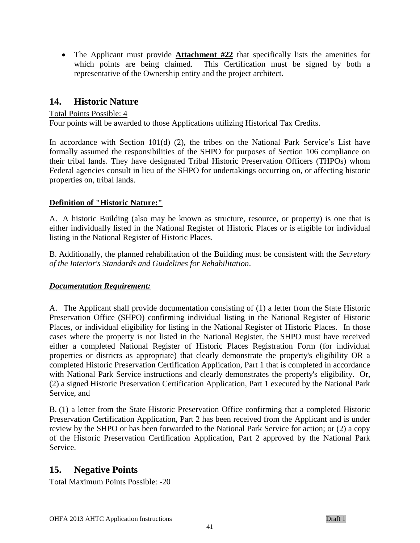• The Applicant must provide **Attachment #22** that specifically lists the amenities for which points are being claimed. This Certification must be signed by both a representative of the Ownership entity and the project architect**.** 

### **14. Historic Nature**

### Total Points Possible: 4

Four points will be awarded to those Applications utilizing Historical Tax Credits.

In accordance with Section 101(d) (2), the tribes on the National Park Service's List have formally assumed the responsibilities of the SHPO for purposes of Section 106 compliance on their tribal lands. They have designated Tribal Historic Preservation Officers (THPOs) whom Federal agencies consult in lieu of the SHPO for undertakings occurring on, or affecting historic properties on, tribal lands.

### **Definition of "Historic Nature:"**

A. A historic Building (also may be known as structure, resource, or property) is one that is either individually listed in the National Register of Historic Places or is eligible for individual listing in the National Register of Historic Places.

B. Additionally, the planned rehabilitation of the Building must be consistent with the *Secretary of the Interior's Standards and Guidelines for Rehabilitation*.

### *Documentation Requirement:*

A. The Applicant shall provide documentation consisting of (1) a letter from the State Historic Preservation Office (SHPO) confirming individual listing in the National Register of Historic Places, or individual eligibility for listing in the National Register of Historic Places. In those cases where the property is not listed in the National Register, the SHPO must have received either a completed National Register of Historic Places Registration Form (for individual properties or districts as appropriate) that clearly demonstrate the property's eligibility OR a completed Historic Preservation Certification Application, Part 1 that is completed in accordance with National Park Service instructions and clearly demonstrates the property's eligibility. Or, (2) a signed Historic Preservation Certification Application, Part 1 executed by the National Park Service, and

B. (1) a letter from the State Historic Preservation Office confirming that a completed Historic Preservation Certification Application, Part 2 has been received from the Applicant and is under review by the SHPO or has been forwarded to the National Park Service for action; or (2) a copy of the Historic Preservation Certification Application, Part 2 approved by the National Park Service.

### **15. Negative Points**

Total Maximum Points Possible: -20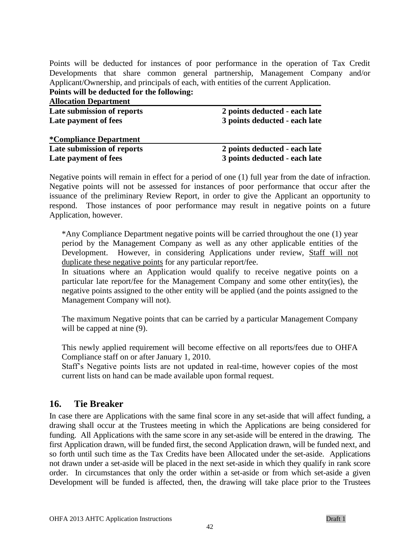Points will be deducted for instances of poor performance in the operation of Tax Credit Developments that share common general partnership, Management Company and/or Applicant/Ownership, and principals of each, with entities of the current Application. **Points will be deducted for the following:**

| <b>Allocation Department</b>   |                               |
|--------------------------------|-------------------------------|
| Late submission of reports     | 2 points deducted - each late |
| Late payment of fees           | 3 points deducted - each late |
| <i>*</i> Compliance Department |                               |
| Late submission of reports     | 2 points deducted - each late |
| Late payment of fees           | 3 points deducted - each late |

Negative points will remain in effect for a period of one (1) full year from the date of infraction. Negative points will not be assessed for instances of poor performance that occur after the issuance of the preliminary Review Report, in order to give the Applicant an opportunity to respond. Those instances of poor performance may result in negative points on a future Application, however.

\*Any Compliance Department negative points will be carried throughout the one (1) year period by the Management Company as well as any other applicable entities of the Development. However, in considering Applications under review, Staff will not duplicate these negative points for any particular report/fee.

In situations where an Application would qualify to receive negative points on a particular late report/fee for the Management Company and some other entity(ies), the negative points assigned to the other entity will be applied (and the points assigned to the Management Company will not).

The maximum Negative points that can be carried by a particular Management Company will be capped at nine  $(9)$ .

This newly applied requirement will become effective on all reports/fees due to OHFA Compliance staff on or after January 1, 2010.

Staff's Negative points lists are not updated in real-time, however copies of the most current lists on hand can be made available upon formal request.

### **16. Tie Breaker**

In case there are Applications with the same final score in any set-aside that will affect funding, a drawing shall occur at the Trustees meeting in which the Applications are being considered for funding. All Applications with the same score in any set-aside will be entered in the drawing. The first Application drawn, will be funded first, the second Application drawn, will be funded next, and so forth until such time as the Tax Credits have been Allocated under the set-aside. Applications not drawn under a set-aside will be placed in the next set-aside in which they qualify in rank score order. In circumstances that only the order within a set-aside or from which set-aside a given Development will be funded is affected, then, the drawing will take place prior to the Trustees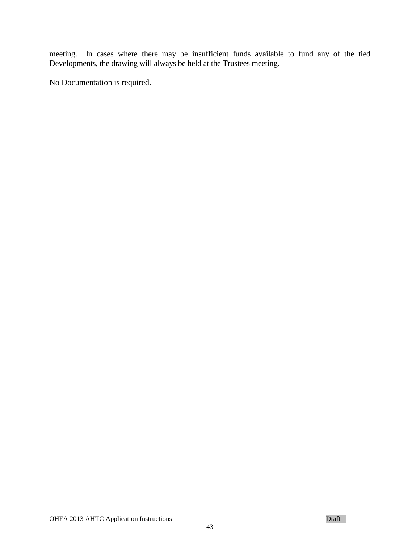meeting. In cases where there may be insufficient funds available to fund any of the tied Developments, the drawing will always be held at the Trustees meeting.

No Documentation is required.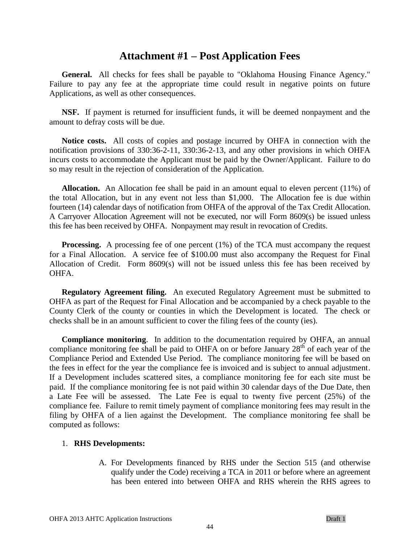### **Attachment #1 – Post Application Fees**

**General.** All checks for fees shall be payable to "Oklahoma Housing Finance Agency." Failure to pay any fee at the appropriate time could result in negative points on future Applications, as well as other consequences.

**NSF.** If payment is returned for insufficient funds, it will be deemed nonpayment and the amount to defray costs will be due.

**Notice costs.** All costs of copies and postage incurred by OHFA in connection with the notification provisions of 330:36-2-11, 330:36-2-13, and any other provisions in which OHFA incurs costs to accommodate the Applicant must be paid by the Owner/Applicant. Failure to do so may result in the rejection of consideration of the Application.

**Allocation.** An Allocation fee shall be paid in an amount equal to eleven percent (11%) of the total Allocation, but in any event not less than \$1,000. The Allocation fee is due within fourteen (14) calendar days of notification from OHFA of the approval of the Tax Credit Allocation. A Carryover Allocation Agreement will not be executed, nor will Form 8609(s) be issued unless this fee has been received by OHFA. Nonpayment may result in revocation of Credits.

**Processing.** A processing fee of one percent (1%) of the TCA must accompany the request for a Final Allocation. A service fee of \$100.00 must also accompany the Request for Final Allocation of Credit. Form 8609(s) will not be issued unless this fee has been received by OHFA.

**Regulatory Agreement filing.** An executed Regulatory Agreement must be submitted to OHFA as part of the Request for Final Allocation and be accompanied by a check payable to the County Clerk of the county or counties in which the Development is located. The check or checks shall be in an amount sufficient to cover the filing fees of the county (ies).

**Compliance monitoring**. In addition to the documentation required by OHFA, an annual compliance monitoring fee shall be paid to OHFA on or before January  $28<sup>th</sup>$  of each year of the Compliance Period and Extended Use Period. The compliance monitoring fee will be based on the fees in effect for the year the compliance fee is invoiced and is subject to annual adjustment. If a Development includes scattered sites, a compliance monitoring fee for each site must be paid. If the compliance monitoring fee is not paid within 30 calendar days of the Due Date, then a Late Fee will be assessed. The Late Fee is equal to twenty five percent (25%) of the compliance fee. Failure to remit timely payment of compliance monitoring fees may result in the filing by OHFA of a lien against the Development. The compliance monitoring fee shall be computed as follows:

#### 1. **RHS Developments:**

A. For Developments financed by RHS under the Section 515 (and otherwise qualify under the Code) receiving a TCA in 2011 or before where an agreement has been entered into between OHFA and RHS wherein the RHS agrees to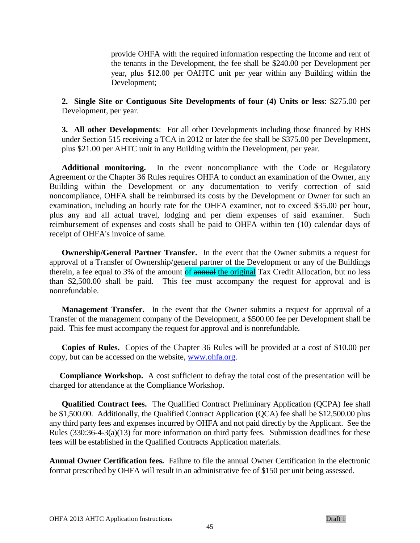provide OHFA with the required information respecting the Income and rent of the tenants in the Development, the fee shall be \$240.00 per Development per year, plus \$12.00 per OAHTC unit per year within any Building within the Development;

**2. Single Site or Contiguous Site Developments of four (4) Units or less**: \$275.00 per Development, per year.

**3. All other Developments**: For all other Developments including those financed by RHS under Section 515 receiving a TCA in 2012 or later the fee shall be \$375.00 per Development, plus \$21.00 per AHTC unit in any Building within the Development, per year.

**Additional monitoring.** In the event noncompliance with the Code or Regulatory Agreement or the Chapter 36 Rules requires OHFA to conduct an examination of the Owner, any Building within the Development or any documentation to verify correction of said noncompliance, OHFA shall be reimbursed its costs by the Development or Owner for such an examination, including an hourly rate for the OHFA examiner, not to exceed \$35.00 per hour, plus any and all actual travel, lodging and per diem expenses of said examiner. Such reimbursement of expenses and costs shall be paid to OHFA within ten (10) calendar days of receipt of OHFA's invoice of same.

**Ownership/General Partner Transfer.** In the event that the Owner submits a request for approval of a Transfer of Ownership/general partner of the Development or any of the Buildings therein, a fee equal to 3% of the amount of **annual the original** Tax Credit Allocation, but no less than \$2,500.00 shall be paid. This fee must accompany the request for approval and is nonrefundable.

**Management Transfer.** In the event that the Owner submits a request for approval of a Transfer of the management company of the Development, a \$500.00 fee per Development shall be paid. This fee must accompany the request for approval and is nonrefundable.

**Copies of Rules.** Copies of the Chapter 36 Rules will be provided at a cost of \$10.00 per copy, but can be accessed on the website, [www.ohfa.org.](http://www.ohfa.org/)

**Compliance Workshop.** A cost sufficient to defray the total cost of the presentation will be charged for attendance at the Compliance Workshop.

**Qualified Contract fees.** The Qualified Contract Preliminary Application (QCPA) fee shall be \$1,500.00. Additionally, the Qualified Contract Application (QCA) fee shall be \$12,500.00 plus any third party fees and expenses incurred by OHFA and not paid directly by the Applicant. See the Rules  $(330:36-4-3(a)(13)$  for more information on third party fees. Submission deadlines for these fees will be established in the Qualified Contracts Application materials.

**Annual Owner Certification fees.** Failure to file the annual Owner Certification in the electronic format prescribed by OHFA will result in an administrative fee of \$150 per unit being assessed.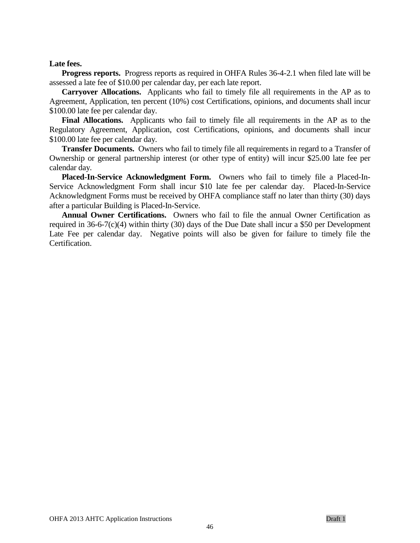#### **Late fees.**

**Progress reports.** Progress reports as required in OHFA Rules 36-4-2.1 when filed late will be assessed a late fee of \$10.00 per calendar day, per each late report.

**Carryover Allocations.** Applicants who fail to timely file all requirements in the AP as to Agreement, Application, ten percent (10%) cost Certifications, opinions, and documents shall incur \$100.00 late fee per calendar day.

**Final Allocations.** Applicants who fail to timely file all requirements in the AP as to the Regulatory Agreement, Application, cost Certifications, opinions, and documents shall incur \$100.00 late fee per calendar day.

**Transfer Documents.** Owners who fail to timely file all requirements in regard to a Transfer of Ownership or general partnership interest (or other type of entity) will incur \$25.00 late fee per calendar day.

**Placed-In-Service Acknowledgment Form.** Owners who fail to timely file a Placed-In-Service Acknowledgment Form shall incur \$10 late fee per calendar day. Placed-In-Service Acknowledgment Forms must be received by OHFA compliance staff no later than thirty (30) days after a particular Building is Placed-In-Service.

**Annual Owner Certifications.** Owners who fail to file the annual Owner Certification as required in 36-6-7(c)(4) within thirty (30) days of the Due Date shall incur a \$50 per Development Late Fee per calendar day. Negative points will also be given for failure to timely file the Certification.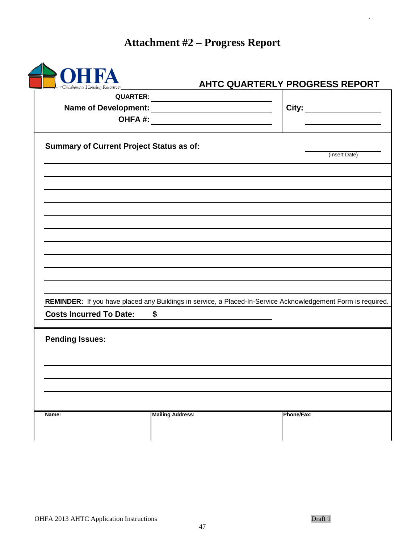# **Attachment #2 – Progress Report**

| "Oklahoma's Housing Resource"                   |                         | AHTC QUARTERLY PROGRESS REPORT                                                                               |
|-------------------------------------------------|-------------------------|--------------------------------------------------------------------------------------------------------------|
|                                                 | <b>QUARTER:</b>         |                                                                                                              |
|                                                 |                         | City: ________________                                                                                       |
|                                                 | OHFA#:                  |                                                                                                              |
| <b>Summary of Current Project Status as of:</b> |                         | (Insert Date)                                                                                                |
|                                                 |                         |                                                                                                              |
|                                                 |                         |                                                                                                              |
|                                                 |                         |                                                                                                              |
|                                                 |                         |                                                                                                              |
|                                                 |                         |                                                                                                              |
|                                                 |                         |                                                                                                              |
|                                                 |                         |                                                                                                              |
|                                                 |                         |                                                                                                              |
|                                                 |                         |                                                                                                              |
|                                                 |                         | REMINDER: If you have placed any Buildings in service, a Placed-In-Service Acknowledgement Form is required. |
| <b>Costs Incurred To Date:</b>                  | $\frac{1}{2}$           |                                                                                                              |
| <b>Pending Issues:</b>                          |                         |                                                                                                              |
|                                                 |                         |                                                                                                              |
|                                                 |                         |                                                                                                              |
|                                                 |                         |                                                                                                              |
| Name:                                           | <b>Mailing Address:</b> | Phone/Fax:                                                                                                   |

.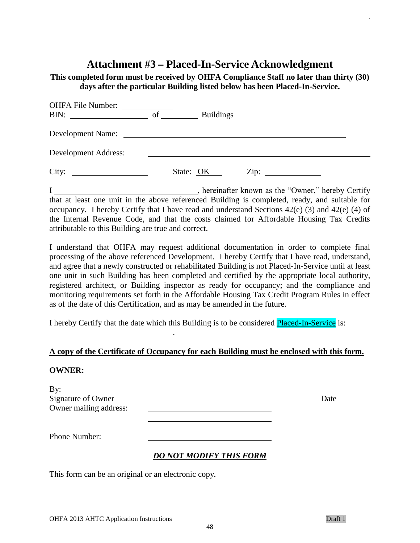## **Attachment #3 – Placed-In-Service Acknowledgment**

**This completed form must be received by OHFA Compliance Staff no later than thirty (30) days after the particular Building listed below has been Placed-In-Service.** 

| OHFA File Number:<br>BIN:<br><u> 1980 - Jan Barbara Barbara, prima popular popular popular popular popular popular popular popular popular po</u> | of |           | <b>Buildings</b> |      |
|---------------------------------------------------------------------------------------------------------------------------------------------------|----|-----------|------------------|------|
| Development Name:                                                                                                                                 |    |           |                  |      |
| Development Address:                                                                                                                              |    |           |                  |      |
| City:                                                                                                                                             |    | State: OK |                  | Zip: |

I , hereinafter known as the "Owner," hereby Certify that at least one unit in the above referenced Building is completed, ready, and suitable for occupancy. I hereby Certify that I have read and understand Sections 42(e) (3) and 42(e) (4) of the Internal Revenue Code, and that the costs claimed for Affordable Housing Tax Credits attributable to this Building are true and correct.

I understand that OHFA may request additional documentation in order to complete final processing of the above referenced Development. I hereby Certify that I have read, understand, and agree that a newly constructed or rehabilitated Building is not Placed-In-Service until at least one unit in such Building has been completed and certified by the appropriate local authority, registered architect, or Building inspector as ready for occupancy; and the compliance and monitoring requirements set forth in the Affordable Housing Tax Credit Program Rules in effect as of the date of this Certification, and as may be amended in the future.

I hereby Certify that the date which this Building is to be considered Placed-In-Service is:

### **A copy of the Certificate of Occupancy for each Building must be enclosed with this form.**

#### **OWNER:**

| By:                    | <u> 1980 - Jan Samuel Barbara, margaret e populazion del control del control del control del control de la provi</u> |      |
|------------------------|----------------------------------------------------------------------------------------------------------------------|------|
| Signature of Owner     |                                                                                                                      | Date |
| Owner mailing address: |                                                                                                                      |      |
|                        |                                                                                                                      |      |
|                        |                                                                                                                      |      |
| <b>Phone Number:</b>   |                                                                                                                      |      |
|                        | <b>DO NOT MODIFY THIS FORM</b>                                                                                       |      |

This form can be an original or an electronic copy**.**

<u>. Andrew Marian Maria Maria Maria Ma</u>

.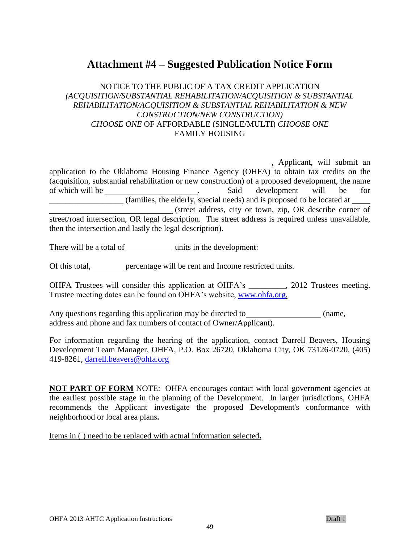## **Attachment #4 – Suggested Publication Notice Form**

### NOTICE TO THE PUBLIC OF A TAX CREDIT APPLICATION *(ACQUISITION/SUBSTANTIAL REHABILITATION/ACQUISITION & SUBSTANTIAL REHABILITATION/ACQUISITION & SUBSTANTIAL REHABILITATION & NEW CONSTRUCTION/NEW CONSTRUCTION) CHOOSE ONE* OF AFFORDABLE (SINGLE/MULTI) *CHOOSE ONE* FAMILY HOUSING

**Example 21**, Applicant, will submit an application to the Oklahoma Housing Finance Agency (OHFA) to obtain tax credits on the (acquisition, substantial rehabilitation or new construction) of a proposed development, the name of which will be <u>said</u> contained by the said development will be for \_\_\_\_\_\_\_\_\_\_\_\_\_\_\_\_\_\_ (families, the elderly, special needs) and is proposed to be located at (street address, city or town, zip, OR describe corner of street/road intersection, OR legal description. The street address is required unless unavailable, then the intersection and lastly the legal description).

There will be a total of \_\_\_\_\_\_\_\_\_\_\_\_\_ units in the development:

Of this total, percentage will be rent and Income restricted units.

OHFA Trustees will consider this application at OHFA's \_\_\_\_\_\_\_\_\_, 2012 Trustees meeting. Trustee meeting dates can be found on OHFA's website, [www.ohfa.org.](http://www.ohfa.org/)

Any questions regarding this application may be directed to (name, address and phone and fax numbers of contact of Owner/Applicant).

For information regarding the hearing of the application, contact Darrell Beavers, Housing Development Team Manager, OHFA, P.O. Box 26720, Oklahoma City, OK 73126-0720, (405) 419-8261, [darrell.beavers@ohfa.org](mailto:darrell.beavers@ohfa.org)

**NOT PART OF FORM** NOTE: OHFA encourages contact with local government agencies at the earliest possible stage in the planning of the Development. In larger jurisdictions, OHFA recommends the Applicant investigate the proposed Development's conformance with neighborhood or local area plans**.** 

Items in ( ) need to be replaced with actual information selected**.**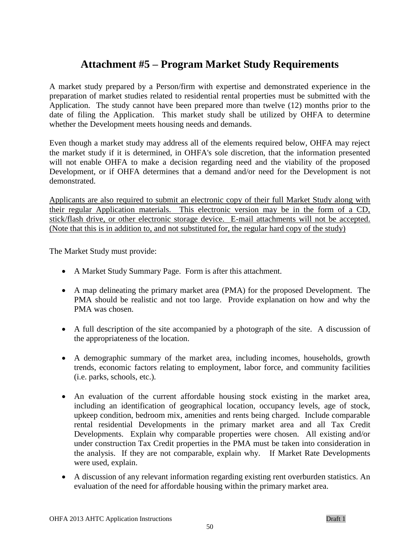## **Attachment #5 – Program Market Study Requirements**

A market study prepared by a Person/firm with expertise and demonstrated experience in the preparation of market studies related to residential rental properties must be submitted with the Application. The study cannot have been prepared more than twelve (12) months prior to the date of filing the Application. This market study shall be utilized by OHFA to determine whether the Development meets housing needs and demands.

Even though a market study may address all of the elements required below, OHFA may reject the market study if it is determined, in OHFA's sole discretion, that the information presented will not enable OHFA to make a decision regarding need and the viability of the proposed Development, or if OHFA determines that a demand and/or need for the Development is not demonstrated.

Applicants are also required to submit an electronic copy of their full Market Study along with their regular Application materials. This electronic version may be in the form of a CD, stick/flash drive, or other electronic storage device. E-mail attachments will not be accepted. (Note that this is in addition to, and not substituted for, the regular hard copy of the study)

The Market Study must provide:

- A Market Study Summary Page. Form is after this attachment.
- A map delineating the primary market area (PMA) for the proposed Development. The PMA should be realistic and not too large. Provide explanation on how and why the PMA was chosen.
- A full description of the site accompanied by a photograph of the site. A discussion of the appropriateness of the location.
- A demographic summary of the market area, including incomes, households, growth trends, economic factors relating to employment, labor force, and community facilities (i.e. parks, schools, etc.).
- An evaluation of the current affordable housing stock existing in the market area, including an identification of geographical location, occupancy levels, age of stock, upkeep condition, bedroom mix, amenities and rents being charged. Include comparable rental residential Developments in the primary market area and all Tax Credit Developments. Explain why comparable properties were chosen. All existing and/or under construction Tax Credit properties in the PMA must be taken into consideration in the analysis. If they are not comparable, explain why. If Market Rate Developments were used, explain.
- A discussion of any relevant information regarding existing rent overburden statistics. An evaluation of the need for affordable housing within the primary market area.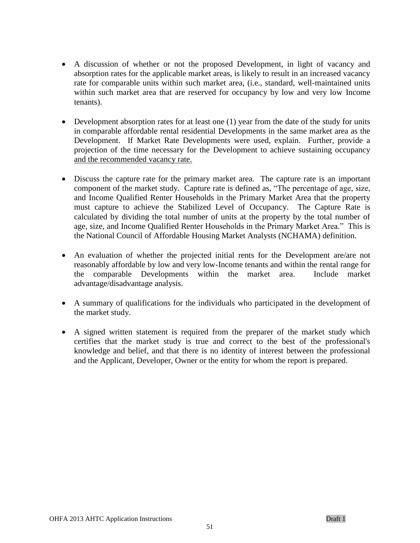- A discussion of whether or not the proposed Development, in light of vacancy and absorption rates for the applicable market areas, is likely to result in an increased vacancy rate for comparable units within such market area, (i.e., standard, well-maintained units within such market area that are reserved for occupancy by low and very low Income tenants).
- Development absorption rates for at least one (1) year from the date of the study for units in comparable affordable rental residential Developments in the same market area as the Development. If Market Rate Developments were used, explain. Further, provide a projection of the time necessary for the Development to achieve sustaining occupancy and the recommended vacancy rate.
- Discuss the capture rate for the primary market area. The capture rate is an important component of the market study. Capture rate is defined as, "The percentage of age, size, and Income Qualified Renter Households in the Primary Market Area that the property must capture to achieve the Stabilized Level of Occupancy. The Capture Rate is calculated by dividing the total number of units at the property by the total number of age, size, and Income Qualified Renter Households in the Primary Market Area." This is the National Council of Affordable Housing Market Analysts (NCHAMA) definition.
- An evaluation of whether the projected initial rents for the Development are/are not reasonably affordable by low and very low-Income tenants and within the rental range for the comparable Developments within the market area. Include market advantage/disadvantage analysis.
- A summary of qualifications for the individuals who participated in the development of the market study.
- A signed written statement is required from the preparer of the market study which certifies that the market study is true and correct to the best of the professional's knowledge and belief, and that there is no identity of interest between the professional and the Applicant, Developer, Owner or the entity for whom the report is prepared.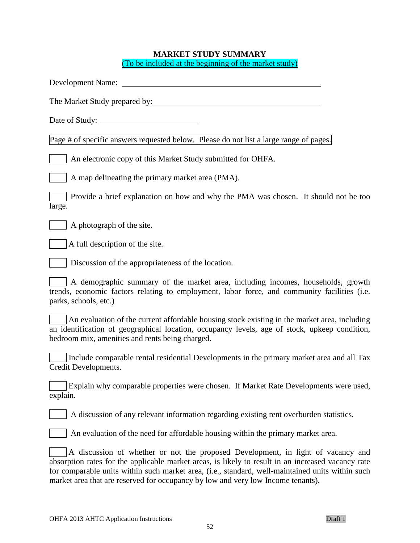### **MARKET STUDY SUMMARY** (To be included at the beginning of the market study)

| Date of Study:                                                                                                                                                                                                                                                                                                                                                                 |
|--------------------------------------------------------------------------------------------------------------------------------------------------------------------------------------------------------------------------------------------------------------------------------------------------------------------------------------------------------------------------------|
| Page # of specific answers requested below. Please do not list a large range of pages.                                                                                                                                                                                                                                                                                         |
| An electronic copy of this Market Study submitted for OHFA.                                                                                                                                                                                                                                                                                                                    |
| A map delineating the primary market area (PMA).                                                                                                                                                                                                                                                                                                                               |
| Provide a brief explanation on how and why the PMA was chosen. It should not be too<br>large.                                                                                                                                                                                                                                                                                  |
| A photograph of the site.                                                                                                                                                                                                                                                                                                                                                      |
| A full description of the site.                                                                                                                                                                                                                                                                                                                                                |
| Discussion of the appropriateness of the location.                                                                                                                                                                                                                                                                                                                             |
| A demographic summary of the market area, including incomes, households, growth<br>trends, economic factors relating to employment, labor force, and community facilities (i.e.<br>parks, schools, etc.)                                                                                                                                                                       |
| An evaluation of the current affordable housing stock existing in the market area, including<br>an identification of geographical location, occupancy levels, age of stock, upkeep condition,<br>bedroom mix, amenities and rents being charged.                                                                                                                               |
| Include comparable rental residential Developments in the primary market area and all Tax<br>Credit Developments.                                                                                                                                                                                                                                                              |
| Explain why comparable properties were chosen. If Market Rate Developments were used,<br>explain.                                                                                                                                                                                                                                                                              |
| A discussion of any relevant information regarding existing rent overburden statistics.                                                                                                                                                                                                                                                                                        |
| An evaluation of the need for affordable housing within the primary market area.                                                                                                                                                                                                                                                                                               |
| A discussion of whether or not the proposed Development, in light of vacancy and<br>absorption rates for the applicable market areas, is likely to result in an increased vacancy rate<br>for comparable units within such market area, (i.e., standard, well-maintained units within such<br>market area that are reserved for occupancy by low and very low Income tenants). |
|                                                                                                                                                                                                                                                                                                                                                                                |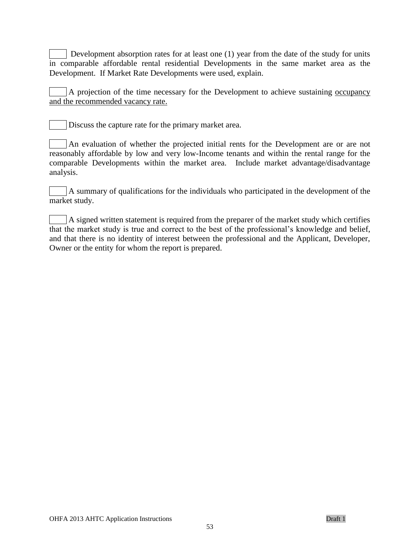Development absorption rates for at least one (1) year from the date of the study for units in comparable affordable rental residential Developments in the same market area as the Development. If Market Rate Developments were used, explain.

A projection of the time necessary for the Development to achieve sustaining occupancy and the recommended vacancy rate.

Discuss the capture rate for the primary market area.

An evaluation of whether the projected initial rents for the Development are or are not reasonably affordable by low and very low-Income tenants and within the rental range for the comparable Developments within the market area. Include market advantage/disadvantage analysis.

A summary of qualifications for the individuals who participated in the development of the market study.

A signed written statement is required from the preparer of the market study which certifies that the market study is true and correct to the best of the professional's knowledge and belief, and that there is no identity of interest between the professional and the Applicant, Developer, Owner or the entity for whom the report is prepared.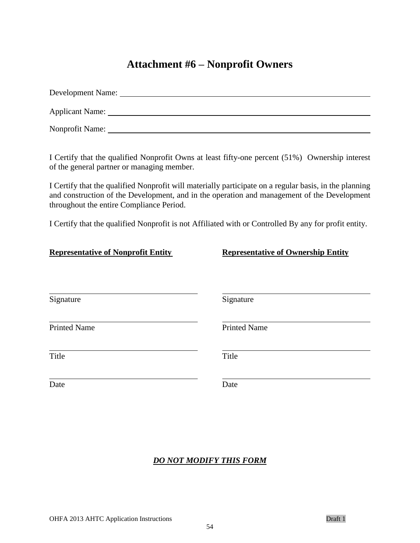## **Attachment #6 – Nonprofit Owners**

| Development Name: |
|-------------------|
| Applicant Name:   |
| Nonprofit Name:   |

I Certify that the qualified Nonprofit Owns at least fifty-one percent (51%) Ownership interest of the general partner or managing member.

I Certify that the qualified Nonprofit will materially participate on a regular basis, in the planning and construction of the Development, and in the operation and management of the Development throughout the entire Compliance Period.

I Certify that the qualified Nonprofit is not Affiliated with or Controlled By any for profit entity.

| <b>Representative of Nonprofit Entity</b> | <b>Representative of Ownership Entity</b> |
|-------------------------------------------|-------------------------------------------|
| Signature                                 | Signature                                 |
| <b>Printed Name</b>                       | <b>Printed Name</b>                       |
| Title                                     | Title                                     |
| Date                                      | Date                                      |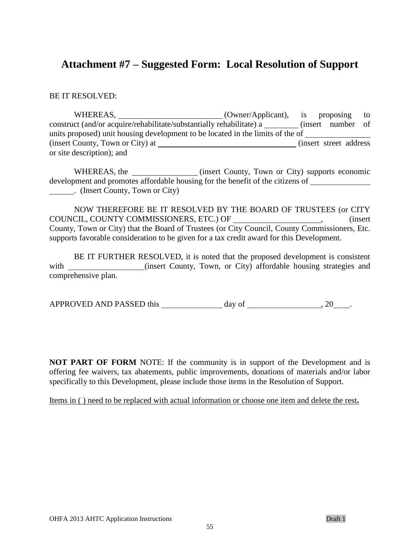### **Attachment #7 – Suggested Form: Local Resolution of Support**

BE IT RESOLVED:

WHEREAS,  $(Owner/Application)$ , is proposing to construct (and/or acquire/rehabilitate/substantially rehabilitate) a \_\_\_\_\_\_\_\_ (insert number of units proposed) unit housing development to be located in the limits of the of (insert County, Town or City) at (insert street address) or site description); and

WHEREAS, the <u>containing</u> (insert County, Town or City) supports economic development and promotes affordable housing for the benefit of the citizens of . (Insert County, Town or City)

NOW THEREFORE BE IT RESOLVED BY THE BOARD OF TRUSTEES (or CITY COUNCIL, COUNTY COMMISSIONERS, ETC.) OF (insert County, Town or City) that the Board of Trustees (or City Council, County Commissioners, Etc. supports favorable consideration to be given for a tax credit award for this Development.

BE IT FURTHER RESOLVED, it is noted that the proposed development is consistent with \_\_\_\_\_\_\_\_\_\_\_\_\_\_(insert County, Town, or City) affordable housing strategies and comprehensive plan.

APPROVED AND PASSED this  $\qquad \qquad$  day of  $\qquad \qquad$ , 20  $\qquad$ .

**NOT PART OF FORM** NOTE: If the community is in support of the Development and is offering fee waivers, tax abatements, public improvements, donations of materials and/or labor specifically to this Development, please include those items in the Resolution of Support.

Items in ( ) need to be replaced with actual information or choose one item and delete the rest**.**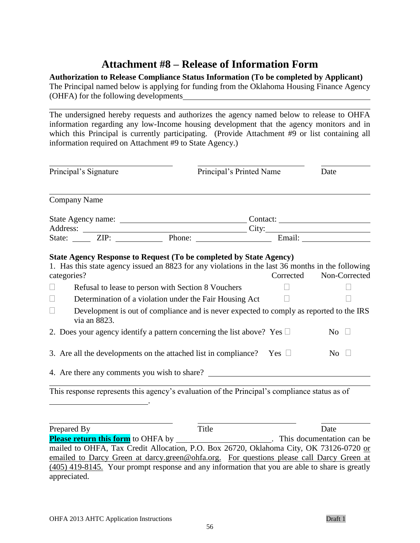## **Attachment #8 – Release of Information Form**

### **Authorization to Release Compliance Status Information (To be completed by Applicant)**

The Principal named below is applying for funding from the Oklahoma Housing Finance Agency (OHFA) for the following developments

The undersigned hereby requests and authorizes the agency named below to release to OHFA information regarding any low-Income housing development that the agency monitors and in which this Principal is currently participating. (Provide Attachment #9 or list containing all information required on Attachment #9 to State Agency.)

|                       | Principal's Signature | Principal's Printed Name                                                                                                                                                                                                                                                                                          |           | Date             |
|-----------------------|-----------------------|-------------------------------------------------------------------------------------------------------------------------------------------------------------------------------------------------------------------------------------------------------------------------------------------------------------------|-----------|------------------|
|                       | <b>Company Name</b>   |                                                                                                                                                                                                                                                                                                                   |           |                  |
|                       |                       |                                                                                                                                                                                                                                                                                                                   |           |                  |
|                       |                       |                                                                                                                                                                                                                                                                                                                   |           |                  |
|                       |                       | State: <u>ZIP:</u> Phone: Brail:                                                                                                                                                                                                                                                                                  |           |                  |
| categories?<br>$\Box$ |                       | Refusal to lease to person with Section 8 Vouchers                                                                                                                                                                                                                                                                | Corrected | Non-Corrected    |
| $\Box$                |                       |                                                                                                                                                                                                                                                                                                                   |           |                  |
|                       |                       | Determination of a violation under the Fair Housing Act                                                                                                                                                                                                                                                           |           |                  |
| П                     | via an 8823.          | Development is out of compliance and is never expected to comply as reported to the IRS                                                                                                                                                                                                                           |           |                  |
|                       |                       | 2. Does your agency identify a pattern concerning the list above? Yes $\Box$                                                                                                                                                                                                                                      |           | No $\square$     |
|                       |                       | 3. Are all the developments on the attached list in compliance? Yes $\Box$                                                                                                                                                                                                                                        |           | $\overline{N_0}$ |
|                       |                       | 4. Are there any comments you wish to share?                                                                                                                                                                                                                                                                      |           |                  |
| $T = 1$               |                       | $\mathcal{A}$ and $\mathcal{A}$ and $\mathcal{A}$ and $\mathcal{A}$ and $\mathcal{A}$ and $\mathcal{A}$ and $\mathcal{A}$ and $\mathcal{A}$ and $\mathcal{A}$ and $\mathcal{A}$ and $\mathcal{A}$ and $\mathcal{A}$ and $\mathcal{A}$ and $\mathcal{A}$ and $\mathcal{A}$ and $\mathcal{A}$ and $\mathcal{A}$ and |           |                  |

This response represents this agency's evaluation of the Principal's compliance status as of

.

Prepared By Title Date **Please return this form** to OHFA by . This documentation can be mailed to OHFA, Tax Credit Allocation, P.O. Box 26720, Oklahoma City, OK 73126-0720 or emailed to Darcy Green at darcy.green@ohfa.org. For questions please call Darcy Green at (405) 419-8145. Your prompt response and any information that you are able to share is greatly appreciated.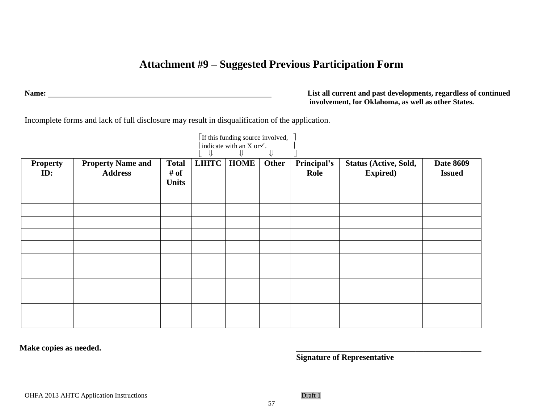# **Attachment #9 – Suggested Previous Participation Form**

**Name: List all current and past developments, regardless of continued involvement, for Oklahoma, as well as other States.**

Incomplete forms and lack of full disclosure may result in disqualification of the application.

| <b>Property</b> | <b>Property Name and</b> | <b>Total</b> | LIHTC | ⇓<br><b>HOME</b> | ⇓<br><b>Other</b> | Principal's | Status (Active, Sold, | <b>Date 8609</b> |
|-----------------|--------------------------|--------------|-------|------------------|-------------------|-------------|-----------------------|------------------|
| ID:             | <b>Address</b>           | # of         |       |                  |                   | Role        | <b>Expired</b> )      | <b>Issued</b>    |
|                 |                          | <b>Units</b> |       |                  |                   |             |                       |                  |
|                 |                          |              |       |                  |                   |             |                       |                  |
|                 |                          |              |       |                  |                   |             |                       |                  |
|                 |                          |              |       |                  |                   |             |                       |                  |
|                 |                          |              |       |                  |                   |             |                       |                  |
|                 |                          |              |       |                  |                   |             |                       |                  |
|                 |                          |              |       |                  |                   |             |                       |                  |
|                 |                          |              |       |                  |                   |             |                       |                  |
|                 |                          |              |       |                  |                   |             |                       |                  |
|                 |                          |              |       |                  |                   |             |                       |                  |
|                 |                          |              |       |                  |                   |             |                       |                  |

**Make copies as needed. \_\_\_\_\_\_\_\_\_\_\_\_\_\_\_\_\_\_\_\_\_\_\_\_\_\_\_\_\_\_\_\_\_\_\_\_\_\_\_\_\_\_\_\_\_**

**Signature of Representative**

57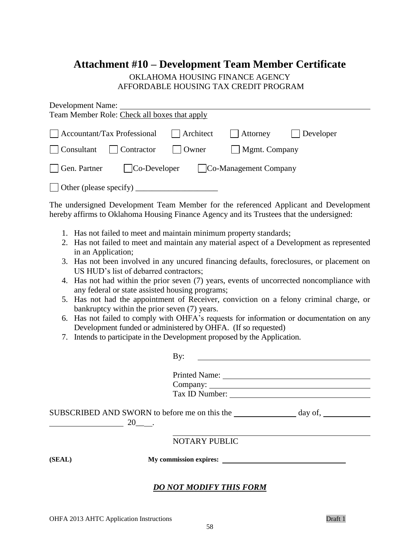## **Attachment #10 – Development Team Member Certificate**

### OKLAHOMA HOUSING FINANCE AGENCY AFFORDABLE HOUSING TAX CREDIT PROGRAM

| Development Name:                            |           |                       |                   |
|----------------------------------------------|-----------|-----------------------|-------------------|
| Team Member Role: Check all boxes that apply |           |                       |                   |
| Accountant/Tax Professional                  | Architect | $\vert$ Attorney      | $\vert$ Developer |
| Consultant<br>$\vert$ Contractor             | Owner     | $\vert$ Mgmt. Company |                   |
| Gen. Partner<br>$\vert$ Co-Developer         |           | Co-Management Company |                   |
| $\Box$ Other (please specify)                |           |                       |                   |

The undersigned Development Team Member for the referenced Applicant and Development hereby affirms to Oklahoma Housing Finance Agency and its Trustees that the undersigned:

- 1. Has not failed to meet and maintain minimum property standards;
- 2. Has not failed to meet and maintain any material aspect of a Development as represented in an Application;
- 3. Has not been involved in any uncured financing defaults, foreclosures, or placement on US HUD's list of debarred contractors;
- 4. Has not had within the prior seven (7) years, events of uncorrected noncompliance with any federal or state assisted housing programs;
- 5. Has not had the appointment of Receiver, conviction on a felony criminal charge, or bankruptcy within the prior seven (7) years.
- 6. Has not failed to comply with OHFA's requests for information or documentation on any Development funded or administered by OHFA. (If so requested)
- 7. Intends to participate in the Development proposed by the Application.

| By:                  |                                                                                                          |
|----------------------|----------------------------------------------------------------------------------------------------------|
|                      |                                                                                                          |
|                      |                                                                                                          |
| 20.                  |                                                                                                          |
| <b>NOTARY PUBLIC</b> |                                                                                                          |
|                      |                                                                                                          |
|                      |                                                                                                          |
|                      | Printed Name:<br>SUBSCRIBED AND SWORN to before me on this the day of,<br><b>DO NOT MODIFY THIS FORM</b> |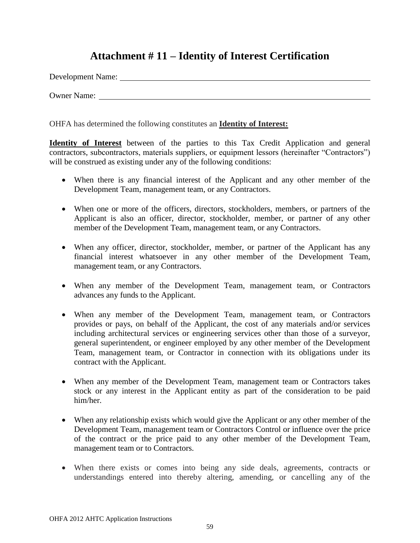## **Attachment # 11 – Identity of Interest Certification**

Development Name:

Owner Name:

OHFA has determined the following constitutes an **Identity of Interest:**

**Identity of Interest** between of the parties to this Tax Credit Application and general contractors, subcontractors, materials suppliers, or equipment lessors (hereinafter "Contractors") will be construed as existing under any of the following conditions:

- When there is any financial interest of the Applicant and any other member of the Development Team, management team, or any Contractors.
- When one or more of the officers, directors, stockholders, members, or partners of the Applicant is also an officer, director, stockholder, member, or partner of any other member of the Development Team, management team, or any Contractors.
- When any officer, director, stockholder, member, or partner of the Applicant has any financial interest whatsoever in any other member of the Development Team, management team, or any Contractors.
- When any member of the Development Team, management team, or Contractors advances any funds to the Applicant.
- When any member of the Development Team, management team, or Contractors provides or pays, on behalf of the Applicant, the cost of any materials and/or services including architectural services or engineering services other than those of a surveyor, general superintendent, or engineer employed by any other member of the Development Team, management team, or Contractor in connection with its obligations under its contract with the Applicant.
- When any member of the Development Team, management team or Contractors takes stock or any interest in the Applicant entity as part of the consideration to be paid him/her.
- When any relationship exists which would give the Applicant or any other member of the Development Team, management team or Contractors Control or influence over the price of the contract or the price paid to any other member of the Development Team, management team or to Contractors.
- When there exists or comes into being any side deals, agreements, contracts or understandings entered into thereby altering, amending, or cancelling any of the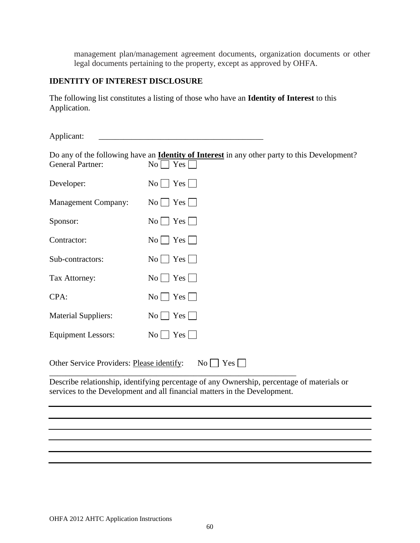management plan/management agreement documents, organization documents or other legal documents pertaining to the property, except as approved by OHFA.

### **IDENTITY OF INTEREST DISCLOSURE**

The following list constitutes a listing of those who have an **Identity of Interest** to this Application.

| Applicant:                                |                                                                                                                                                                         |
|-------------------------------------------|-------------------------------------------------------------------------------------------------------------------------------------------------------------------------|
| <b>General Partner:</b>                   | Do any of the following have an <b>Identity of Interest</b> in any other party to this Development?<br>$\overline{N_0}$<br>Yes                                          |
| Developer:                                | Yes<br>No <sub>1</sub>                                                                                                                                                  |
| <b>Management Company:</b>                | $No \mid Yes$                                                                                                                                                           |
| Sponsor:                                  | <b>Yes</b><br>$\overline{N_{O}}$                                                                                                                                        |
| Contractor:                               | $\overline{N_0}$<br>Yes                                                                                                                                                 |
| Sub-contractors:                          | $Yes \mid$<br>$\overline{N_{O}}$                                                                                                                                        |
| Tax Attorney:                             | Yes  <br>No <sub>1</sub>                                                                                                                                                |
| CPA:                                      | Yes<br>$\overline{N_{0}}$                                                                                                                                               |
| <b>Material Suppliers:</b>                | $\text{No}$   Yes                                                                                                                                                       |
| <b>Equipment Lessors:</b>                 | $\overline{N_{0}}$<br>Yes                                                                                                                                               |
| Other Service Providers: Please identify: | $\text{No}$   Yes                                                                                                                                                       |
|                                           | Describe relationship, identifying percentage of any Ownership, percentage of materials or<br>services to the Development and all financial matters in the Development. |
|                                           |                                                                                                                                                                         |
|                                           |                                                                                                                                                                         |
|                                           |                                                                                                                                                                         |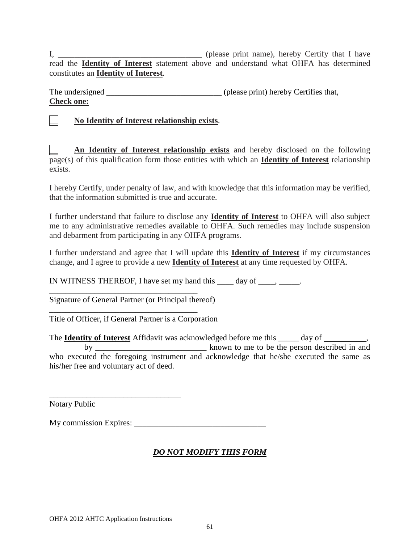I*,* \_\_\_\_\_\_\_\_\_\_\_\_\_\_\_\_\_\_\_\_\_\_\_\_\_\_\_\_\_\_\_\_\_\_\_ (please print name), hereby Certify that I have read the **Identity of Interest** statement above and understand what OHFA has determined constitutes an **Identity of Interest**.

The undersigned (please print) hereby Certifies that, **Check one:**

\_\_ **No Identity of Interest relationship exists**.

\_\_ **An Identity of Interest relationship exists** and hereby disclosed on the following page(s) of this qualification form those entities with which an **Identity of Interest** relationship exists.

I hereby Certify, under penalty of law, and with knowledge that this information may be verified, that the information submitted is true and accurate.

I further understand that failure to disclose any **Identity of Interest** to OHFA will also subject me to any administrative remedies available to OHFA. Such remedies may include suspension and debarment from participating in any OHFA programs.

I further understand and agree that I will update this **Identity of Interest** if my circumstances change, and I agree to provide a new **Identity of Interest** at any time requested by OHFA.

IN WITNESS THEREOF, I have set my hand this  $\_\_\_\_$  day of  $\_\_\_\_\_\_\_\_\_\_\_\_\_\_\_\_\_\_\_\_\_\_$ .

Signature of General Partner (or Principal thereof)

\_\_\_\_\_\_\_\_\_\_\_\_\_\_\_\_\_\_\_\_\_\_\_\_\_\_\_\_\_\_\_\_\_\_\_\_

\_\_\_\_\_\_\_\_\_\_\_\_\_\_\_\_\_\_\_\_\_\_\_\_\_\_\_\_\_\_\_\_\_\_\_\_

\_\_\_\_\_\_\_\_\_\_\_\_\_\_\_\_\_\_\_\_\_\_\_\_\_\_\_\_\_\_\_\_

Title of Officer, if General Partner is a Corporation

The **Identity of Interest** Affidavit was acknowledged before me this \_\_\_\_\_ day of \_\_\_\_\_\_\_\_\_, by \_\_\_\_\_\_\_\_\_\_\_\_\_\_\_\_\_\_\_\_\_\_\_\_\_\_\_ known to me to be the person described in and who executed the foregoing instrument and acknowledge that he/she executed the same as his/her free and voluntary act of deed.

Notary Public

My commission Expires: \_\_\_\_\_\_\_\_\_\_\_\_\_\_\_\_\_\_\_\_\_\_\_\_\_\_\_\_\_\_\_\_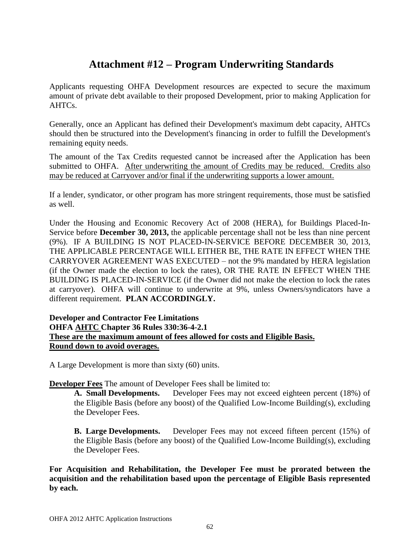## **Attachment #12 – Program Underwriting Standards**

Applicants requesting OHFA Development resources are expected to secure the maximum amount of private debt available to their proposed Development, prior to making Application for AHTCs.

Generally, once an Applicant has defined their Development's maximum debt capacity, AHTCs should then be structured into the Development's financing in order to fulfill the Development's remaining equity needs.

The amount of the Tax Credits requested cannot be increased after the Application has been submitted to OHFA. After underwriting the amount of Credits may be reduced. Credits also may be reduced at Carryover and/or final if the underwriting supports a lower amount.

If a lender, syndicator, or other program has more stringent requirements, those must be satisfied as well.

Under the Housing and Economic Recovery Act of 2008 (HERA), for Buildings Placed-In-Service before **December 30, 2013,** the applicable percentage shall not be less than nine percent (9%). IF A BUILDING IS NOT PLACED-IN-SERVICE BEFORE DECEMBER 30, 2013, THE APPLICABLE PERCENTAGE WILL EITHER BE, THE RATE IN EFFECT WHEN THE CARRYOVER AGREEMENT WAS EXECUTED – not the 9% mandated by HERA legislation (if the Owner made the election to lock the rates), OR THE RATE IN EFFECT WHEN THE BUILDING IS PLACED-IN-SERVICE (if the Owner did not make the election to lock the rates at carryover). OHFA will continue to underwrite at 9%, unless Owners/syndicators have a different requirement. **PLAN ACCORDINGLY.**

### **Developer and Contractor Fee Limitations OHFA AHTC Chapter 36 Rules 330:36-4-2.1 These are the maximum amount of fees allowed for costs and Eligible Basis. Round down to avoid overages.**

A Large Development is more than sixty (60) units.

**Developer Fees** The amount of Developer Fees shall be limited to:

**A. Small Developments.** Developer Fees may not exceed eighteen percent (18%) of the Eligible Basis (before any boost) of the Qualified Low-Income Building(s), excluding the Developer Fees.

**B. Large Developments.** Developer Fees may not exceed fifteen percent (15%) of the Eligible Basis (before any boost) of the Qualified Low-Income Building(s), excluding the Developer Fees.

**For Acquisition and Rehabilitation, the Developer Fee must be prorated between the acquisition and the rehabilitation based upon the percentage of Eligible Basis represented by each.**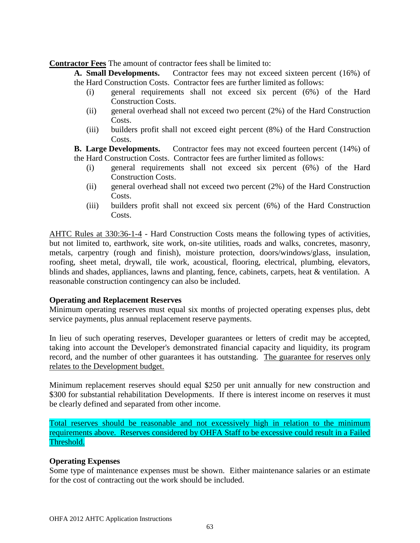**Contractor Fees** The amount of contractor fees shall be limited to:

**A. Small Developments.** Contractor fees may not exceed sixteen percent (16%) of the Hard Construction Costs. Contractor fees are further limited as follows:

- (i) general requirements shall not exceed six percent (6%) of the Hard Construction Costs.
- (ii) general overhead shall not exceed two percent (2%) of the Hard Construction Costs.
- (iii) builders profit shall not exceed eight percent (8%) of the Hard Construction Costs.

**B.** Large Developments. Contractor fees may not exceed fourteen percent (14%) of the Hard Construction Costs. Contractor fees are further limited as follows:

- (i) general requirements shall not exceed six percent (6%) of the Hard Construction Costs.
- (ii) general overhead shall not exceed two percent (2%) of the Hard Construction Costs.
- (iii) builders profit shall not exceed six percent (6%) of the Hard Construction Costs.

AHTC Rules at 330:36-1-4 - Hard Construction Costs means the following types of activities, but not limited to, earthwork, site work, on-site utilities, roads and walks, concretes, masonry, metals, carpentry (rough and finish), moisture protection, doors/windows/glass, insulation, roofing, sheet metal, drywall, tile work, acoustical, flooring, electrical, plumbing, elevators, blinds and shades, appliances, lawns and planting, fence, cabinets, carpets, heat & ventilation. A reasonable construction contingency can also be included.

#### **Operating and Replacement Reserves**

Minimum operating reserves must equal six months of projected operating expenses plus, debt service payments, plus annual replacement reserve payments.

In lieu of such operating reserves, Developer guarantees or letters of credit may be accepted, taking into account the Developer's demonstrated financial capacity and liquidity, its program record, and the number of other guarantees it has outstanding. The guarantee for reserves only relates to the Development budget.

Minimum replacement reserves should equal \$250 per unit annually for new construction and \$300 for substantial rehabilitation Developments. If there is interest income on reserves it must be clearly defined and separated from other income.

Total reserves should be reasonable and not excessively high in relation to the minimum requirements above. Reserves considered by OHFA Staff to be excessive could result in a Failed Threshold.

#### **Operating Expenses**

Some type of maintenance expenses must be shown. Either maintenance salaries or an estimate for the cost of contracting out the work should be included.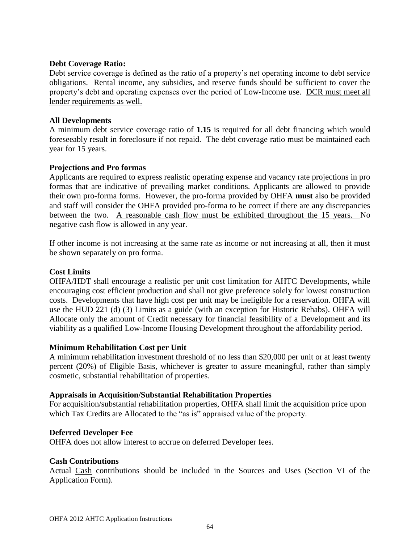#### **Debt Coverage Ratio:**

Debt service coverage is defined as the ratio of a property's net operating income to debt service obligations. Rental income, any subsidies, and reserve funds should be sufficient to cover the property's debt and operating expenses over the period of Low-Income use. DCR must meet all lender requirements as well.

#### **All Developments**

A minimum debt service coverage ratio of **1.15** is required for all debt financing which would foreseeably result in foreclosure if not repaid. The debt coverage ratio must be maintained each year for 15 years.

#### **Projections and Pro formas**

Applicants are required to express realistic operating expense and vacancy rate projections in pro formas that are indicative of prevailing market conditions. Applicants are allowed to provide their own pro-forma forms. However, the pro-forma provided by OHFA **must** also be provided and staff will consider the OHFA provided pro-forma to be correct if there are any discrepancies between the two. A reasonable cash flow must be exhibited throughout the 15 years. No negative cash flow is allowed in any year.

If other income is not increasing at the same rate as income or not increasing at all, then it must be shown separately on pro forma.

#### **Cost Limits**

OHFA/HDT shall encourage a realistic per unit cost limitation for AHTC Developments, while encouraging cost efficient production and shall not give preference solely for lowest construction costs. Developments that have high cost per unit may be ineligible for a reservation. OHFA will use the HUD 221 (d) (3) Limits as a guide (with an exception for Historic Rehabs). OHFA will Allocate only the amount of Credit necessary for financial feasibility of a Development and its viability as a qualified Low-Income Housing Development throughout the affordability period.

#### **Minimum Rehabilitation Cost per Unit**

A minimum rehabilitation investment threshold of no less than \$20,000 per unit or at least twenty percent (20%) of Eligible Basis, whichever is greater to assure meaningful, rather than simply cosmetic, substantial rehabilitation of properties.

#### **Appraisals in Acquisition/Substantial Rehabilitation Properties**

For acquisition/substantial rehabilitation properties, OHFA shall limit the acquisition price upon which Tax Credits are Allocated to the "as is" appraised value of the property.

#### **Deferred Developer Fee**

OHFA does not allow interest to accrue on deferred Developer fees.

#### **Cash Contributions**

Actual Cash contributions should be included in the Sources and Uses (Section VI of the Application Form).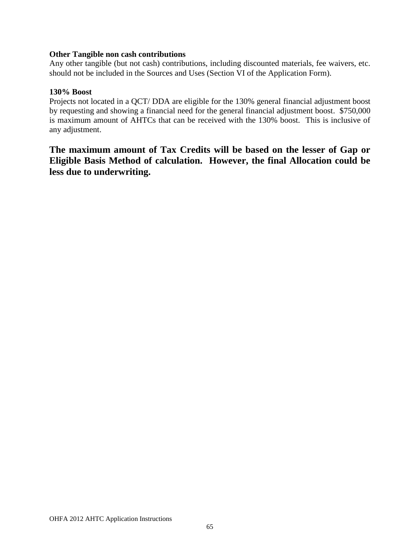#### **Other Tangible non cash contributions**

Any other tangible (but not cash) contributions, including discounted materials, fee waivers, etc. should not be included in the Sources and Uses (Section VI of the Application Form).

#### **130% Boost**

Projects not located in a QCT/ DDA are eligible for the 130% general financial adjustment boost by requesting and showing a financial need for the general financial adjustment boost. \$750,000 is maximum amount of AHTCs that can be received with the 130% boost. This is inclusive of any adjustment.

**The maximum amount of Tax Credits will be based on the lesser of Gap or Eligible Basis Method of calculation. However, the final Allocation could be less due to underwriting.**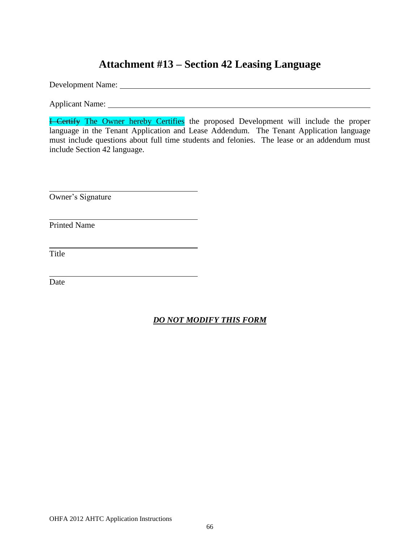## **Attachment #13 – Section 42 Leasing Language**

Development Name:

Applicant Name:

**I Certify The Owner hereby Certifies** the proposed Development will include the proper language in the Tenant Application and Lease Addendum. The Tenant Application language must include questions about full time students and felonies. The lease or an addendum must include Section 42 language.

Owner's Signature

Printed Name

Title

Date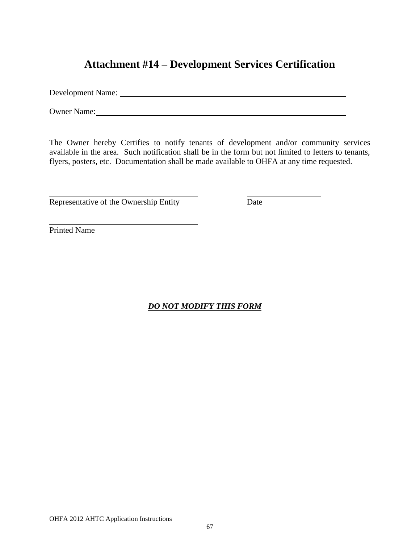## **Attachment #14 – Development Services Certification**

Development Name:

Owner Name:

The Owner hereby Certifies to notify tenants of development and/or community services available in the area. Such notification shall be in the form but not limited to letters to tenants, flyers, posters, etc. Documentation shall be made available to OHFA at any time requested.

Representative of the Ownership Entity Date

Printed Name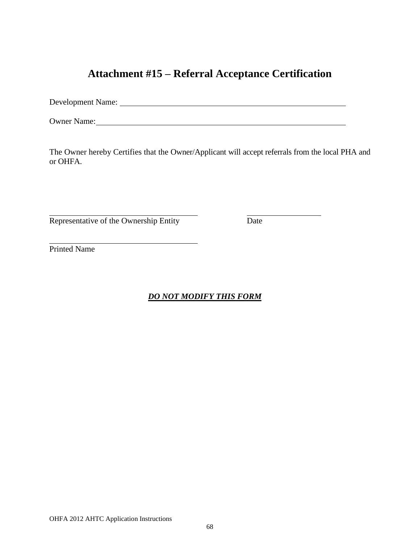## **Attachment #15 – Referral Acceptance Certification**

Development Name:

Owner Name:

The Owner hereby Certifies that the Owner/Applicant will accept referrals from the local PHA and or OHFA.

Representative of the Ownership Entity Date

Printed Name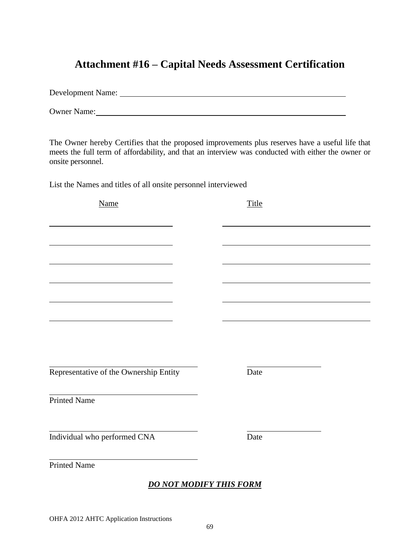## **Attachment #16 – Capital Needs Assessment Certification**

Development Name: Owner Name:

The Owner hereby Certifies that the proposed improvements plus reserves have a useful life that meets the full term of affordability, and that an interview was conducted with either the owner or onsite personnel.

List the Names and titles of all onsite personnel interviewed

Name Title Representative of the Ownership Entity Date Printed Name Individual who performed CNA Date Printed Name *DO NOT MODIFY THIS FORM*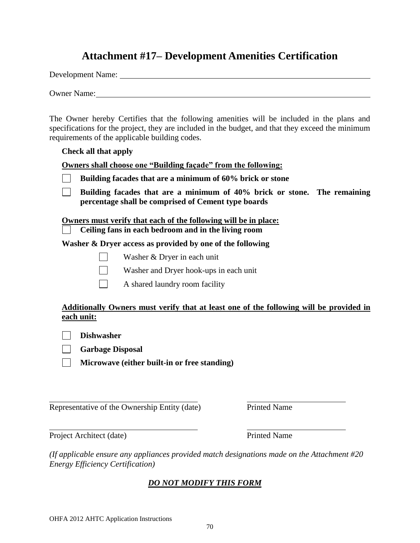### **Attachment #17– Development Amenities Certification**

Development Name:

Owner Name:

The Owner hereby Certifies that the following amenities will be included in the plans and specifications for the project, they are included in the budget, and that they exceed the minimum requirements of the applicable building codes.

#### **Check all that apply**

**Owners shall choose one "Building façade" from the following:**

|  | Building facades that are a minimum of 60% brick or stone |  |  |  |  |  |
|--|-----------------------------------------------------------|--|--|--|--|--|
|--|-----------------------------------------------------------|--|--|--|--|--|

 $\Box$ **Building facades that are a minimum of 40% brick or stone. The remaining percentage shall be comprised of Cement type boards** 

**Owners must verify that each of the following will be in place:**

 **Ceiling fans in each bedroom and in the living room** 

**Washer & Dryer access as provided by one of the following** 

- Washer & Dryer in each unit
- Washer and Dryer hook-ups in each unit
- A shared laundry room facility

### **Additionally Owners must verify that at least one of the following will be provided in each unit:**

**Dishwasher**

**Garbage Disposal**

**Microwave (either built-in or free standing)**

Representative of the Ownership Entity (date) Printed Name

Project Architect (date) Printed Name

*(If applicable ensure any appliances provided match designations made on the Attachment #20 Energy Efficiency Certification)*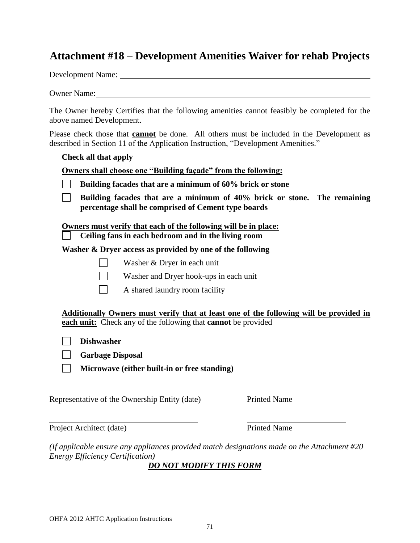### **Attachment #18 – Development Amenities Waiver for rehab Projects**

Development Name:

Owner Name:

The Owner hereby Certifies that the following amenities cannot feasibly be completed for the above named Development.

Please check those that **cannot** be done. All others must be included in the Development as described in Section 11 of the Application Instruction, "Development Amenities."

**Check all that apply**

**Owners shall choose one "Building façade" from the following:**

| Building facades that are a minimum of 60% brick or stone |  |
|-----------------------------------------------------------|--|
|                                                           |  |

**Building facades that are a minimum of 40% brick or stone. The remaining**   $\Box$ **percentage shall be comprised of Cement type boards** 

**Owners must verify that each of the following will be in place:**

 **Ceiling fans in each bedroom and in the living room** 

**Washer & Dryer access as provided by one of the following** 

Washer & Dryer in each unit

Washer and Dryer hook-ups in each unit

A shared laundry room facility

**Additionally Owners must verify that at least one of the following will be provided in each unit:** Check any of the following that **cannot** be provided

**Dishwasher**

**Garbage Disposal**

**Microwave (either built-in or free standing)**

Representative of the Ownership Entity (date) Printed Name

Project Architect (date) Printed Name

*(If applicable ensure any appliances provided match designations made on the Attachment #20 Energy Efficiency Certification)*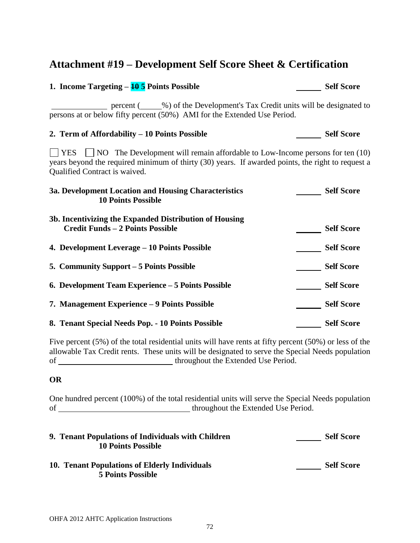## **Attachment #19 – Development Self Score Sheet & Certification**

| 1. Income Targeting $-\frac{10}{5}$ Points Possible                                                                                                                                                                                  | <b>Self Score</b> |  |  |  |  |
|--------------------------------------------------------------------------------------------------------------------------------------------------------------------------------------------------------------------------------------|-------------------|--|--|--|--|
| percent (2004) of the Development's Tax Credit units will be designated to<br>persons at or below fifty percent (50%) AMI for the Extended Use Period.                                                                               |                   |  |  |  |  |
| 2. Term of Affordability – 10 Points Possible                                                                                                                                                                                        | <b>Self Score</b> |  |  |  |  |
| $\Box$ YES $\Box$ NO The Development will remain affordable to Low-Income persons for ten (10)<br>years beyond the required minimum of thirty (30) years. If awarded points, the right to request a<br>Qualified Contract is waived. |                   |  |  |  |  |
| 3a. Development Location and Housing Characteristics<br><b>10 Points Possible</b>                                                                                                                                                    | <b>Self Score</b> |  |  |  |  |
| 3b. Incentivizing the Expanded Distribution of Housing<br><b>Credit Funds - 2 Points Possible</b>                                                                                                                                    | <b>Self Score</b> |  |  |  |  |
| 4. Development Leverage – 10 Points Possible                                                                                                                                                                                         | <b>Self Score</b> |  |  |  |  |
| 5. Community Support – 5 Points Possible                                                                                                                                                                                             | <b>Self Score</b> |  |  |  |  |
| 6. Development Team Experience - 5 Points Possible                                                                                                                                                                                   | <b>Self Score</b> |  |  |  |  |
| 7. Management Experience – 9 Points Possible                                                                                                                                                                                         | <b>Self Score</b> |  |  |  |  |
| 8. Tenant Special Needs Pop. - 10 Points Possible                                                                                                                                                                                    | <b>Self Score</b> |  |  |  |  |

Five percent (5%) of the total residential units will have rents at fifty percent (50%) or less of the allowable Tax Credit rents. These units will be designated to serve the Special Needs population of throughout the Extended Use Period.

### **OR**

One hundred percent (100%) of the total residential units will serve the Special Needs population of throughout the Extended Use Period.

| 9. Tenant Populations of Individuals with Children<br><b>10 Points Possible</b> | <b>Self Score</b> |
|---------------------------------------------------------------------------------|-------------------|
| 10. Tenant Populations of Elderly Individuals<br><b>5 Points Possible</b>       | <b>Self Score</b> |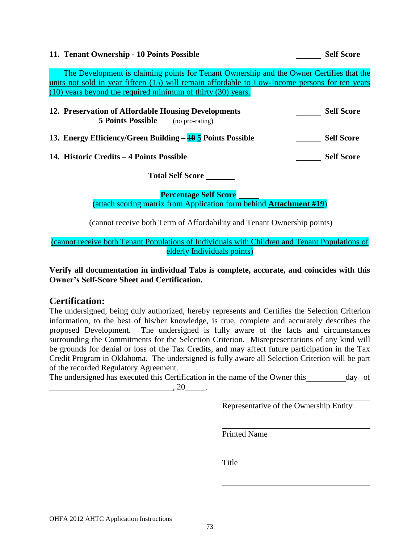### **11. Tenant Ownership - 10 Points Possible Self Score** Self Score

 The Development is claiming points for Tenant Ownership and the Owner Certifies that the units not sold in year fifteen (15) will remain affordable to Low-Income persons for ten years (10) years beyond the required minimum of thirty (30) years.

| 12. Preservation of Affordable Housing Developments                  |                 | <b>Self Score</b> |
|----------------------------------------------------------------------|-----------------|-------------------|
| <b>5 Points Possible</b>                                             | (no pro-rating) |                   |
| 13. Energy Efficiency/Green Building $-\frac{10}{3}$ Points Possible |                 | <b>Self Score</b> |

**14. Historic Credits – 4 Points Possible Self Score** Self Score

**Total Self Score** 

**Percentage Self Score** (attach scoring matrix from Application form behind **Attachment #19**)

(cannot receive both Term of Affordability and Tenant Ownership points)

(cannot receive both Tenant Populations of Individuals with Children and Tenant Populations of elderly Individuals points)

**Verify all documentation in individual Tabs is complete, accurate, and coincides with this Owner's Self-Score Sheet and Certification.**

## **Certification:**

The undersigned, being duly authorized, hereby represents and Certifies the Selection Criterion information, to the best of his/her knowledge, is true, complete and accurately describes the proposed Development. The undersigned is fully aware of the facts and circumstances surrounding the Commitments for the Selection Criterion. Misrepresentations of any kind will be grounds for denial or loss of the Tax Credits, and may affect future participation in the Tax Credit Program in Oklahoma. The undersigned is fully aware all Selection Criterion will be part of the recorded Regulatory Agreement.

The undersigned has executed this Certification in the name of the Owner this day of  $, 20$ .

Representative of the Ownership Entity

Printed Name

**Title**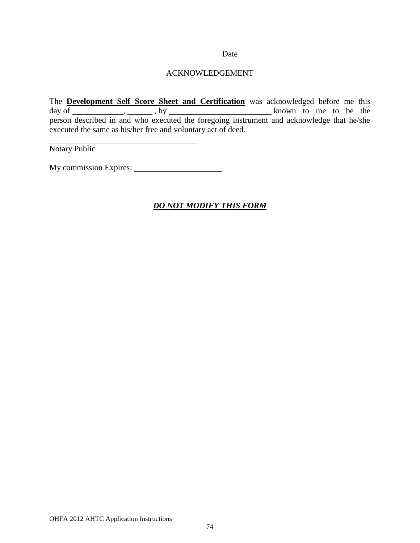#### Date

### ACKNOWLEDGEMENT

The **Development Self Score Sheet and Certification** was acknowledged before me this  $day \text{ of }$  , , , , by  $\frac{dy}{dx}$ , , by  $\frac{dy}{dx}$  known to me to be the person described in and who executed the foregoing instrument and acknowledge that he/she executed the same as his/her free and voluntary act of deed.

Notary Public

My commission Expires: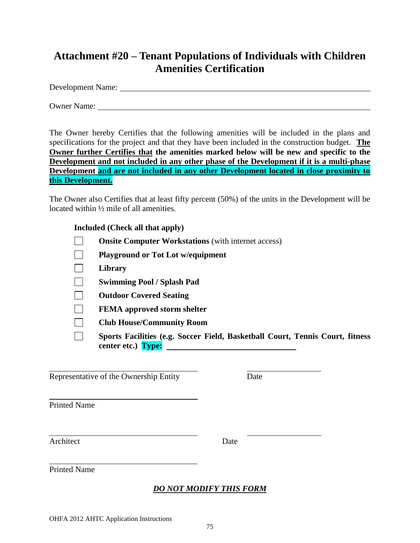# **Attachment #20 – Tenant Populations of Individuals with Children Amenities Certification**

Development Name:

Owner Name:

The Owner hereby Certifies that the following amenities will be included in the plans and specifications for the project and that they have been included in the construction budget. **The Owner further Certifies that the amenities marked below will be new and specific to the Development and not included in any other phase of the Development if it is a multi-phase Development and are not included in any other Development located in close proximity to this Development.**

The Owner also Certifies that at least fifty percent (50%) of the units in the Development will be located within ½ mile of all amenities.

### **Included (Check all that apply)**

- $\Box$ **Onsite Computer Workstations** (with internet access)
- $\Box$ **Playground or Tot Lot w/equipment**
- $\Box$ **Library**
- $\Box$ **Swimming Pool / Splash Pad**
- $\mathbb{R}^n$ **Outdoor Covered Seating**
- $\Box$ **FEMA approved storm shelter**
- $\Box$ **Club House/Community Room**
- $\Box$ **Sports Facilities (e.g. Soccer Field, Basketball Court, Tennis Court, fitness center etc.) Type:**

Representative of the Ownership Entity Date

Printed Name

Architect Date

Printed Name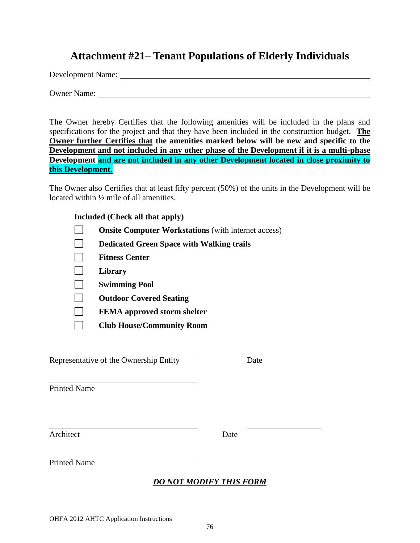## **Attachment #21– Tenant Populations of Elderly Individuals**

Development Name:

Owner Name:

The Owner hereby Certifies that the following amenities will be included in the plans and specifications for the project and that they have been included in the construction budget. **The Owner further Certifies that the amenities marked below will be new and specific to the Development and not included in any other phase of the Development if it is a multi-phase Development and are not included in any other Development located in close proximity to this Development.**

The Owner also Certifies that at least fifty percent (50%) of the units in the Development will be located within ½ mile of all amenities.

### **Included (Check all that apply)**

- $\Box$ **Onsite Computer Workstations** (with internet access)
- $\Box$ **Dedicated Green Space with Walking trails**
- $\Box$ **Fitness Center**
- $\Box$ **Library**
- $\Box$ **Swimming Pool**
- $\Box$ **Outdoor Covered Seating**
- $\Box$ **FEMA approved storm shelter**
- $\Box$ **Club House/Community Room**

Representative of the Ownership Entity Date

Printed Name

Architect Date

Printed Name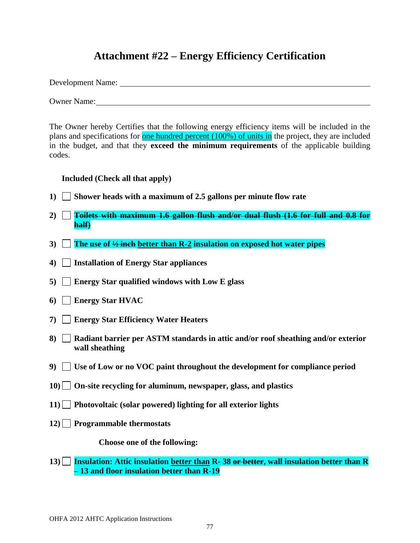# **Attachment #22 – Energy Efficiency Certification**

Development Name:

Owner Name:

The Owner hereby Certifies that the following energy efficiency items will be included in the plans and specifications for one hundred percent (100%) of units in the project, they are included in the budget, and that they **exceed the minimum requirements** of the applicable building codes.

**Included (Check all that apply)**

- **1) Shower heads with a maximum of 2.5 gallons per minute flow rate**
- **2) Toilets with maximum 1.6 gallon flush and/or dual flush (1.6 for full and 0.8 for half)**
- **3) The use of ½ inch better than R-2 insulation on exposed hot water pipes**
- **4) Installation of Energy Star appliances**
- **5) Energy Star qualified windows with Low E glass**
- **6) Energy Star HVAC**
- **7) Energy Star Efficiency Water Heaters**
- **8) Radiant barrier per ASTM standards in attic and/or roof sheathing and/or exterior wall sheathing**
- **9) Use of Low or no VOC paint throughout the development for compliance period**
- **10) On-site recycling for aluminum, newspaper, glass, and plastics**
- **11) Photovoltaic (solar powered) lighting for all exterior lights**
- **12) Programmable thermostats**

**Choose one of the following:**

**13) Insulation: Attic insulation better than R- 38 or better, wall insulation better than R – 13 and floor insulation better than R-19**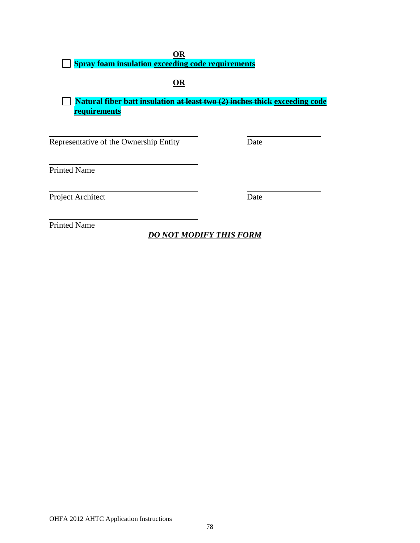**OR**

**Spray foam insulation exceeding code requirements**

**OR**

**Natural fiber batt insulation at least two (2) inches thick exceeding code requirements**

Representative of the Ownership Entity Date

Printed Name

Project Architect Date

Printed Name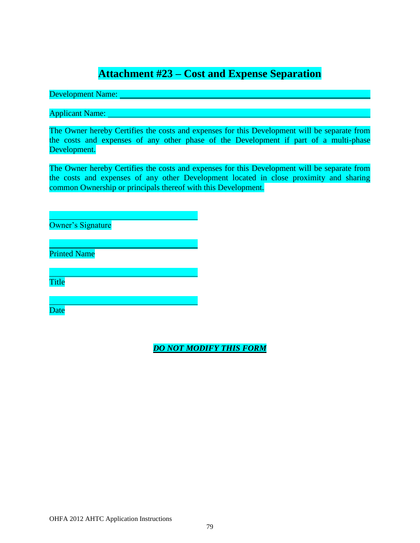# **Attachment #23 – Cost and Expense Separation**

Development Name: \_\_

Applicant Name:

The Owner hereby Certifies the costs and expenses for this Development will be separate from the costs and expenses of any other phase of the Development if part of a multi-phase Development.

The Owner hereby Certifies the costs and expenses for this Development will be separate from the costs and expenses of any other Development located in close proximity and sharing common Ownership or principals thereof with this Development.

Owner's Signature

Printed Name

Title

**Date**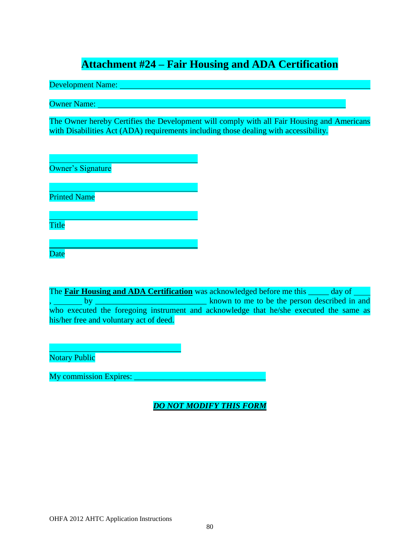# **Attachment #24 – Fair Housing and ADA Certification**

Development Name:

Owner Name:

The Owner hereby Certifies the Development will comply with all Fair Housing and Americans with Disabilities Act (ADA) requirements including those dealing with accessibility.

Owner's Signature

Printed Name

Title

Date

The **Fair Housing and ADA Certification** was acknowledged before me this \_\_\_\_\_ day of , by \_\_\_\_\_\_\_\_\_\_\_\_\_\_\_\_\_\_\_\_\_\_\_\_\_\_\_ known to me to be the person described in and who executed the foregoing instrument and acknowledge that he/she executed the same as his/her free and voluntary act of deed.

 $\overline{\phantom{a}}$  , where  $\overline{\phantom{a}}$  , where  $\overline{\phantom{a}}$  ,  $\overline{\phantom{a}}$  ,  $\overline{\phantom{a}}$  ,  $\overline{\phantom{a}}$  ,  $\overline{\phantom{a}}$  ,  $\overline{\phantom{a}}$  ,  $\overline{\phantom{a}}$  ,  $\overline{\phantom{a}}$  ,  $\overline{\phantom{a}}$  ,  $\overline{\phantom{a}}$  ,  $\overline{\phantom{a}}$  ,  $\overline{\phantom{a}}$  ,  $\overline{\phantom{a}}$  , Notary Public

My commission Expires: